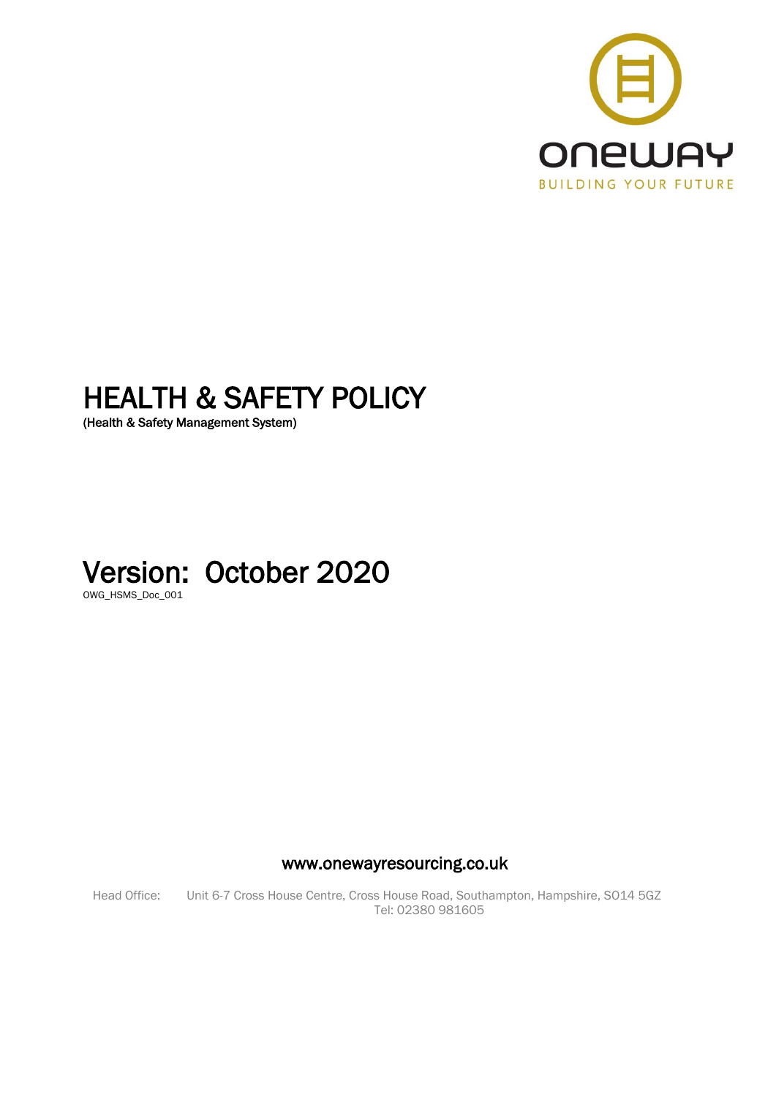

# HEALTH & SAFETY POLICY

(Health & Safety Management System)

# Version: October 2020

OWG\_HSMS\_Doc\_001

www.onewayresourcing.co.uk

Head Office: Unit 6-7 Cross House Centre, Cross House Road, Southampton, Hampshire, SO14 5GZ Tel: 02380 981605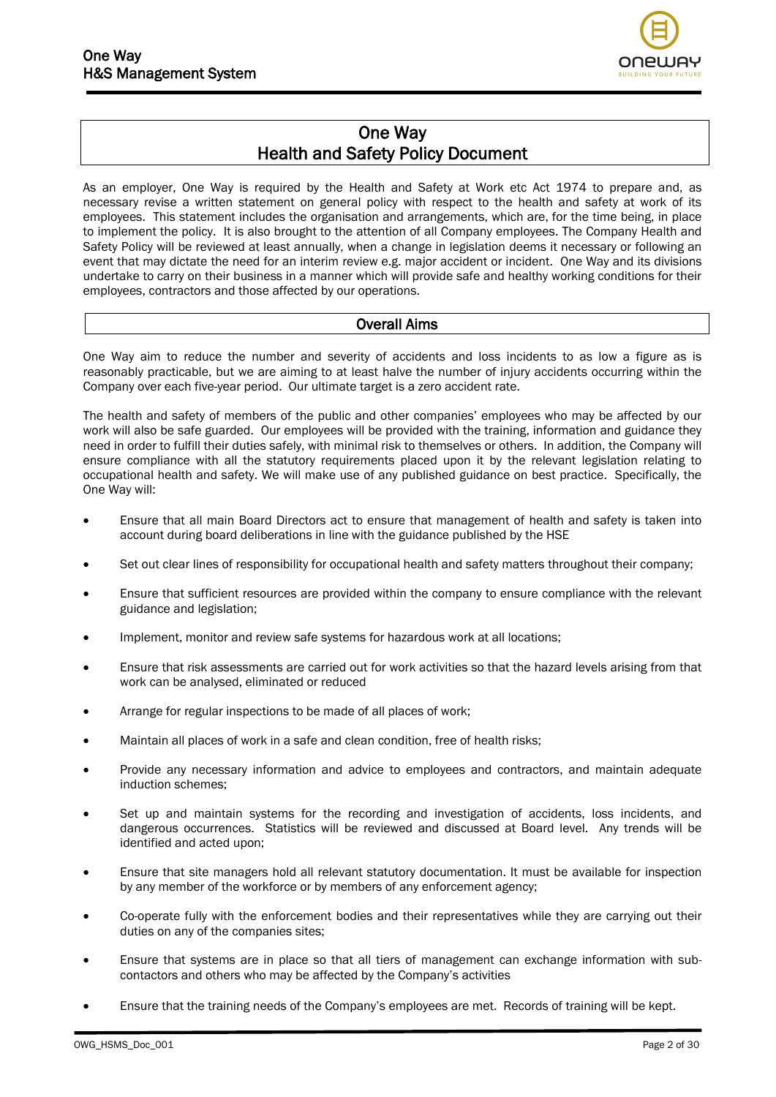

## One Way Health and Safety Policy Document

As an employer, One Way is required by the Health and Safety at Work etc Act 1974 to prepare and, as necessary revise a written statement on general policy with respect to the health and safety at work of its employees. This statement includes the organisation and arrangements, which are, for the time being, in place to implement the policy. It is also brought to the attention of all Company employees. The Company Health and Safety Policy will be reviewed at least annually, when a change in legislation deems it necessary or following an event that may dictate the need for an interim review e.g. major accident or incident. One Way and its divisions undertake to carry on their business in a manner which will provide safe and healthy working conditions for their employees, contractors and those affected by our operations.

#### Overall Aims

One Way aim to reduce the number and severity of accidents and loss incidents to as low a figure as is reasonably practicable, but we are aiming to at least halve the number of injury accidents occurring within the Company over each five-year period. Our ultimate target is a zero accident rate.

The health and safety of members of the public and other companies' employees who may be affected by our work will also be safe guarded. Our employees will be provided with the training, information and guidance they need in order to fulfill their duties safely, with minimal risk to themselves or others. In addition, the Company will ensure compliance with all the statutory requirements placed upon it by the relevant legislation relating to occupational health and safety. We will make use of any published guidance on best practice. Specifically, the One Way will:

- Ensure that all main Board Directors act to ensure that management of health and safety is taken into account during board deliberations in line with the guidance published by the HSE
- Set out clear lines of responsibility for occupational health and safety matters throughout their company;
- Ensure that sufficient resources are provided within the company to ensure compliance with the relevant guidance and legislation;
- Implement, monitor and review safe systems for hazardous work at all locations;
- Ensure that risk assessments are carried out for work activities so that the hazard levels arising from that work can be analysed, eliminated or reduced
- Arrange for regular inspections to be made of all places of work;
- Maintain all places of work in a safe and clean condition, free of health risks;
- Provide any necessary information and advice to employees and contractors, and maintain adequate induction schemes;
- Set up and maintain systems for the recording and investigation of accidents, loss incidents, and dangerous occurrences. Statistics will be reviewed and discussed at Board level. Any trends will be identified and acted upon;
- Ensure that site managers hold all relevant statutory documentation. It must be available for inspection by any member of the workforce or by members of any enforcement agency;
- Co-operate fully with the enforcement bodies and their representatives while they are carrying out their duties on any of the companies sites;
- Ensure that systems are in place so that all tiers of management can exchange information with subcontactors and others who may be affected by the Company's activities
- Ensure that the training needs of the Company's employees are met. Records of training will be kept.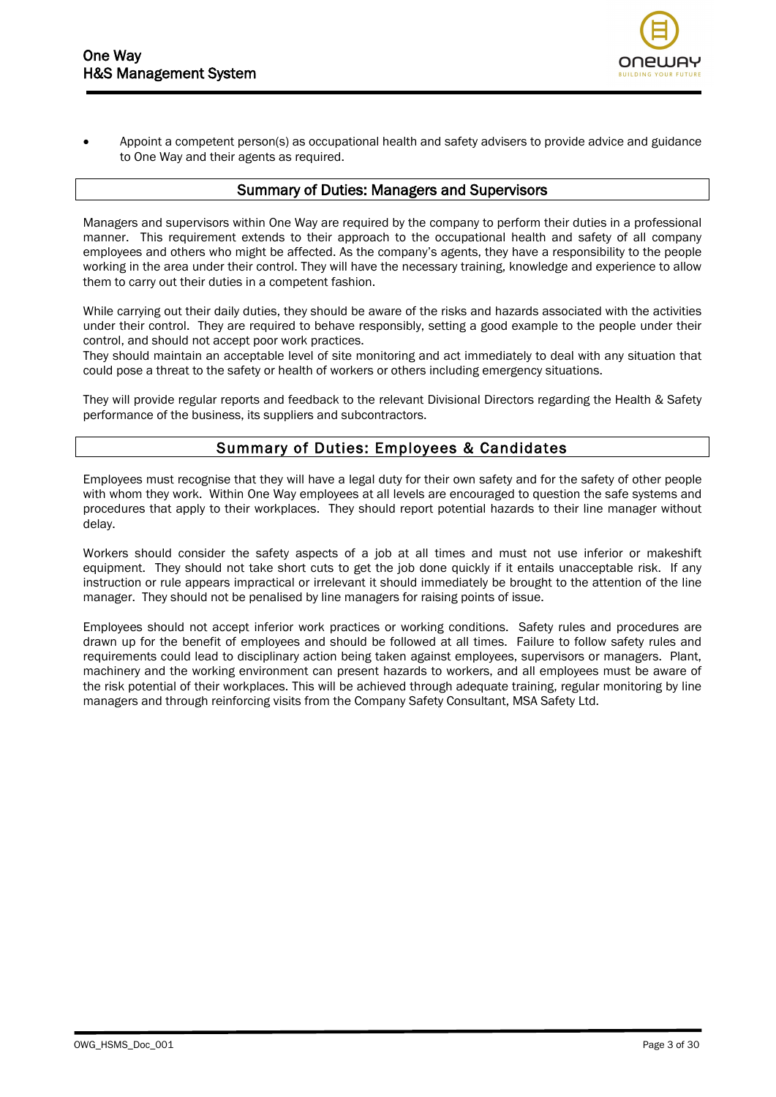

• Appoint a competent person(s) as occupational health and safety advisers to provide advice and guidance to One Way and their agents as required.

#### Summary of Duties: Managers and Supervisors

Managers and supervisors within One Way are required by the company to perform their duties in a professional manner. This requirement extends to their approach to the occupational health and safety of all company employees and others who might be affected. As the company's agents, they have a responsibility to the people working in the area under their control. They will have the necessary training, knowledge and experience to allow them to carry out their duties in a competent fashion.

While carrying out their daily duties, they should be aware of the risks and hazards associated with the activities under their control. They are required to behave responsibly, setting a good example to the people under their control, and should not accept poor work practices.

They should maintain an acceptable level of site monitoring and act immediately to deal with any situation that could pose a threat to the safety or health of workers or others including emergency situations.

They will provide regular reports and feedback to the relevant Divisional Directors regarding the Health & Safety performance of the business, its suppliers and subcontractors.

#### Summary of Duties: Employees & Candidates

Employees must recognise that they will have a legal duty for their own safety and for the safety of other people with whom they work. Within One Way employees at all levels are encouraged to question the safe systems and procedures that apply to their workplaces. They should report potential hazards to their line manager without delay.

Workers should consider the safety aspects of a job at all times and must not use inferior or makeshift equipment. They should not take short cuts to get the job done quickly if it entails unacceptable risk. If any instruction or rule appears impractical or irrelevant it should immediately be brought to the attention of the line manager. They should not be penalised by line managers for raising points of issue.

Employees should not accept inferior work practices or working conditions. Safety rules and procedures are drawn up for the benefit of employees and should be followed at all times. Failure to follow safety rules and requirements could lead to disciplinary action being taken against employees, supervisors or managers. Plant, machinery and the working environment can present hazards to workers, and all employees must be aware of the risk potential of their workplaces. This will be achieved through adequate training, regular monitoring by line managers and through reinforcing visits from the Company Safety Consultant, MSA Safety Ltd.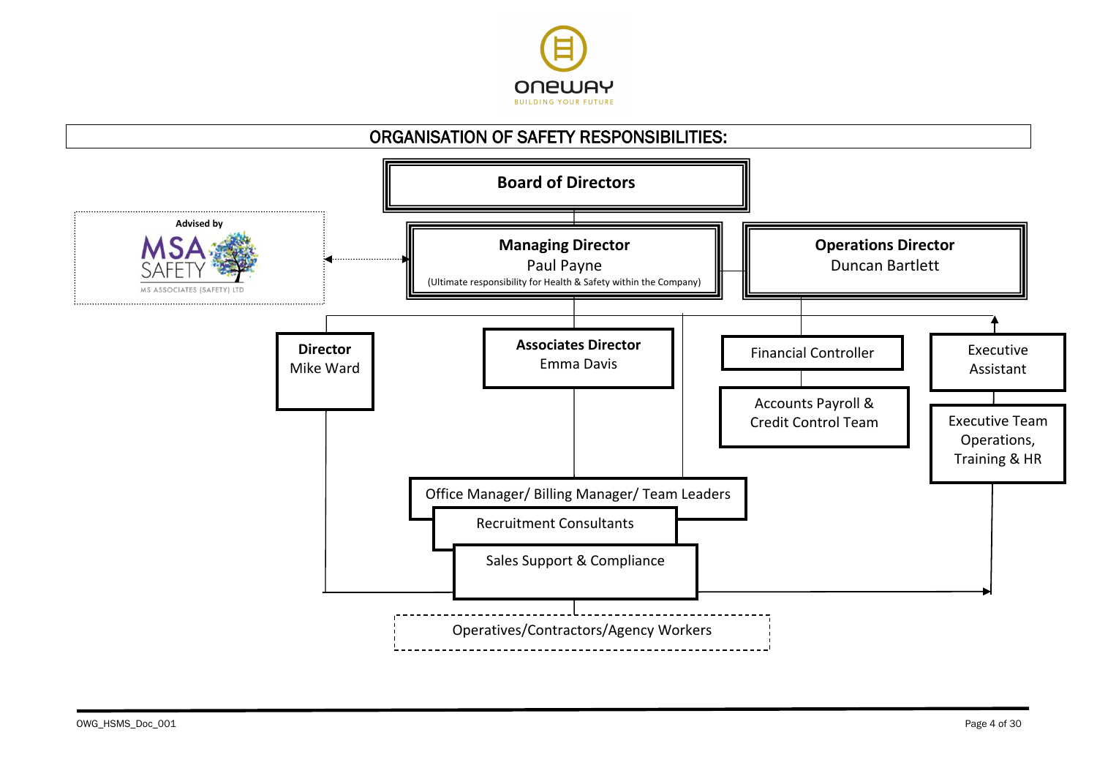

# ORGANISATION OF SAFETY RESPONSIBILITIES:

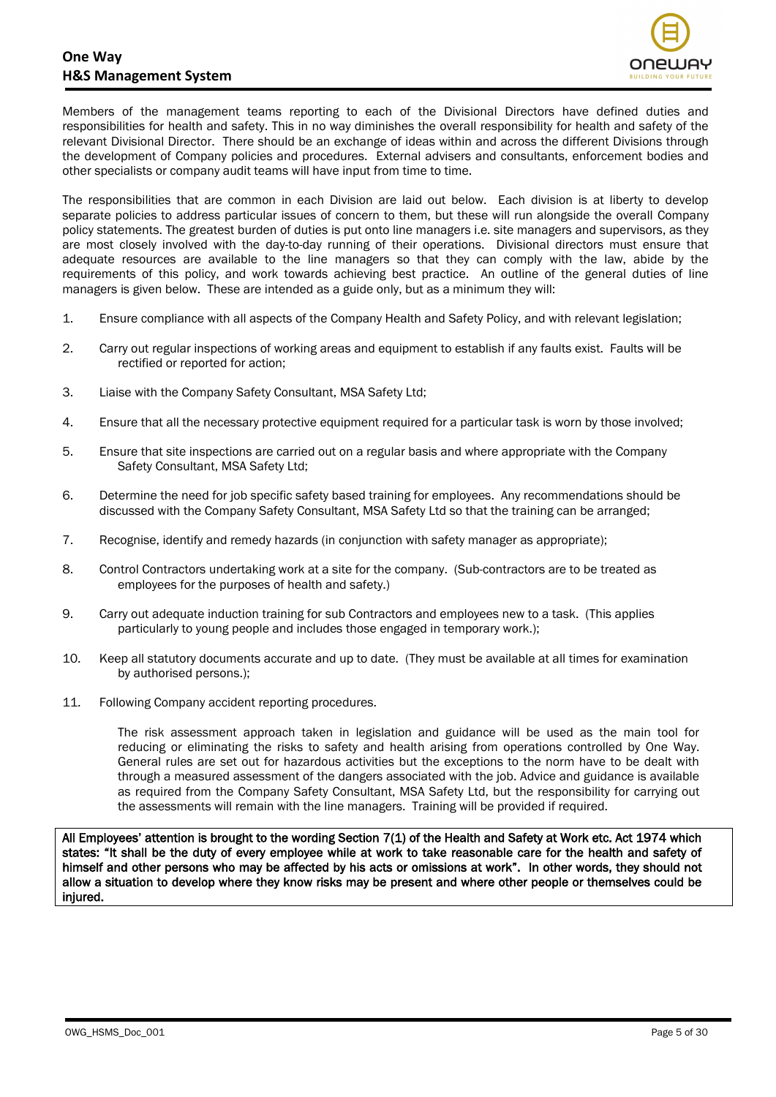

Members of the management teams reporting to each of the Divisional Directors have defined duties and responsibilities for health and safety. This in no way diminishes the overall responsibility for health and safety of the relevant Divisional Director. There should be an exchange of ideas within and across the different Divisions through the development of Company policies and procedures. External advisers and consultants, enforcement bodies and other specialists or company audit teams will have input from time to time.

The responsibilities that are common in each Division are laid out below. Each division is at liberty to develop separate policies to address particular issues of concern to them, but these will run alongside the overall Company policy statements. The greatest burden of duties is put onto line managers i.e. site managers and supervisors, as they are most closely involved with the day-to-day running of their operations. Divisional directors must ensure that adequate resources are available to the line managers so that they can comply with the law, abide by the requirements of this policy, and work towards achieving best practice. An outline of the general duties of line managers is given below. These are intended as a guide only, but as a minimum they will:

- 1. Ensure compliance with all aspects of the Company Health and Safety Policy, and with relevant legislation;
- 2. Carry out regular inspections of working areas and equipment to establish if any faults exist. Faults will be rectified or reported for action;
- 3. Liaise with the Company Safety Consultant, MSA Safety Ltd;
- 4. Ensure that all the necessary protective equipment required for a particular task is worn by those involved;
- 5. Ensure that site inspections are carried out on a regular basis and where appropriate with the Company Safety Consultant, MSA Safety Ltd;
- 6. Determine the need for job specific safety based training for employees. Any recommendations should be discussed with the Company Safety Consultant, MSA Safety Ltd so that the training can be arranged;
- 7. Recognise, identify and remedy hazards (in conjunction with safety manager as appropriate);
- 8. Control Contractors undertaking work at a site for the company. (Sub-contractors are to be treated as employees for the purposes of health and safety.)
- 9. Carry out adequate induction training for sub Contractors and employees new to a task. (This applies particularly to young people and includes those engaged in temporary work.);
- 10. Keep all statutory documents accurate and up to date. (They must be available at all times for examination by authorised persons.);
- 11. Following Company accident reporting procedures.

The risk assessment approach taken in legislation and guidance will be used as the main tool for reducing or eliminating the risks to safety and health arising from operations controlled by One Way. General rules are set out for hazardous activities but the exceptions to the norm have to be dealt with through a measured assessment of the dangers associated with the job. Advice and guidance is available as required from the Company Safety Consultant, MSA Safety Ltd, but the responsibility for carrying out the assessments will remain with the line managers. Training will be provided if required.

All Employees' attention is brought to the wording Section 7(1) of the Health and Safety at Work etc. Act 1974 which states: "It shall be the duty of every employee while at work to take reasonable care for the health and safety of himself and other persons who may be affected by his acts or omissions at work". In other words, they should not allow a situation to develop where they know risks may be present and where other people or themselves could be injured.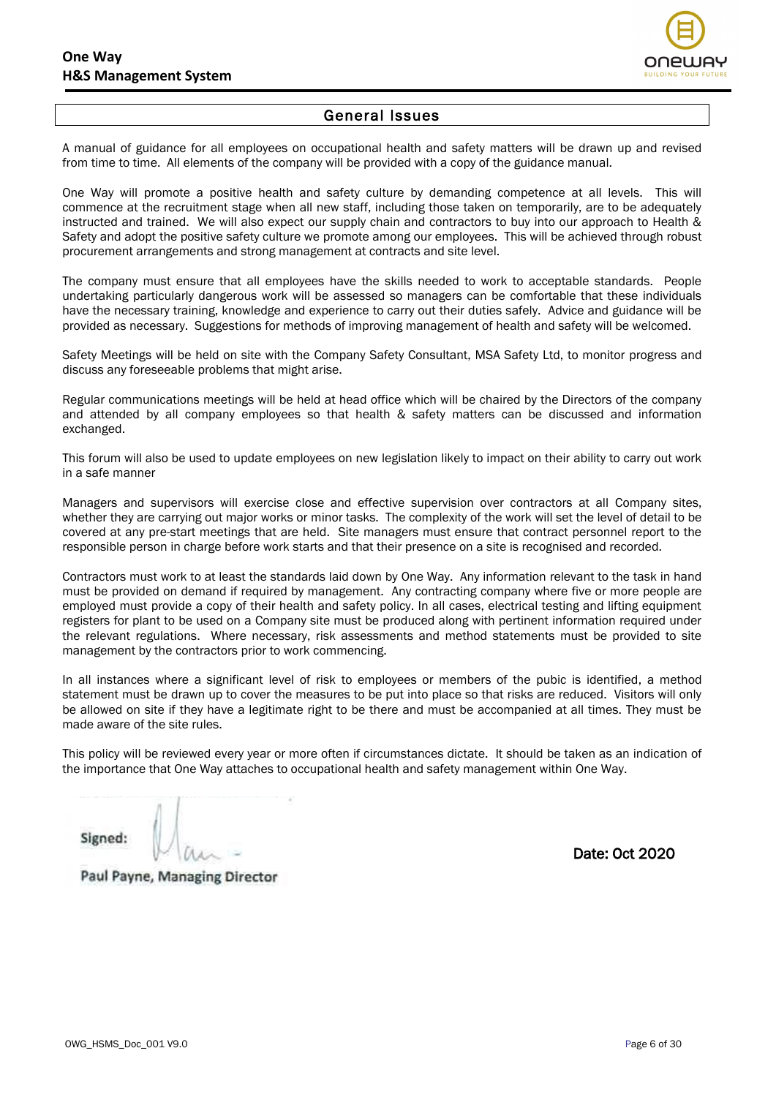

#### General Issues

A manual of guidance for all employees on occupational health and safety matters will be drawn up and revised from time to time. All elements of the company will be provided with a copy of the guidance manual.

One Way will promote a positive health and safety culture by demanding competence at all levels. This will commence at the recruitment stage when all new staff, including those taken on temporarily, are to be adequately instructed and trained. We will also expect our supply chain and contractors to buy into our approach to Health & Safety and adopt the positive safety culture we promote among our employees. This will be achieved through robust procurement arrangements and strong management at contracts and site level.

The company must ensure that all employees have the skills needed to work to acceptable standards. People undertaking particularly dangerous work will be assessed so managers can be comfortable that these individuals have the necessary training, knowledge and experience to carry out their duties safely. Advice and guidance will be provided as necessary. Suggestions for methods of improving management of health and safety will be welcomed.

Safety Meetings will be held on site with the Company Safety Consultant, MSA Safety Ltd, to monitor progress and discuss any foreseeable problems that might arise.

Regular communications meetings will be held at head office which will be chaired by the Directors of the company and attended by all company employees so that health & safety matters can be discussed and information exchanged.

This forum will also be used to update employees on new legislation likely to impact on their ability to carry out work in a safe manner

Managers and supervisors will exercise close and effective supervision over contractors at all Company sites, whether they are carrying out major works or minor tasks. The complexity of the work will set the level of detail to be covered at any pre-start meetings that are held. Site managers must ensure that contract personnel report to the responsible person in charge before work starts and that their presence on a site is recognised and recorded.

Contractors must work to at least the standards laid down by One Way. Any information relevant to the task in hand must be provided on demand if required by management. Any contracting company where five or more people are employed must provide a copy of their health and safety policy. In all cases, electrical testing and lifting equipment registers for plant to be used on a Company site must be produced along with pertinent information required under the relevant regulations. Where necessary, risk assessments and method statements must be provided to site management by the contractors prior to work commencing.

In all instances where a significant level of risk to employees or members of the pubic is identified, a method statement must be drawn up to cover the measures to be put into place so that risks are reduced. Visitors will only be allowed on site if they have a legitimate right to be there and must be accompanied at all times. They must be made aware of the site rules.

This policy will be reviewed every year or more often if circumstances dictate. It should be taken as an indication of the importance that One Way attaches to occupational health and safety management within One Way.

Signed:

Date: Oct 2020

Paul Payne, Managing Director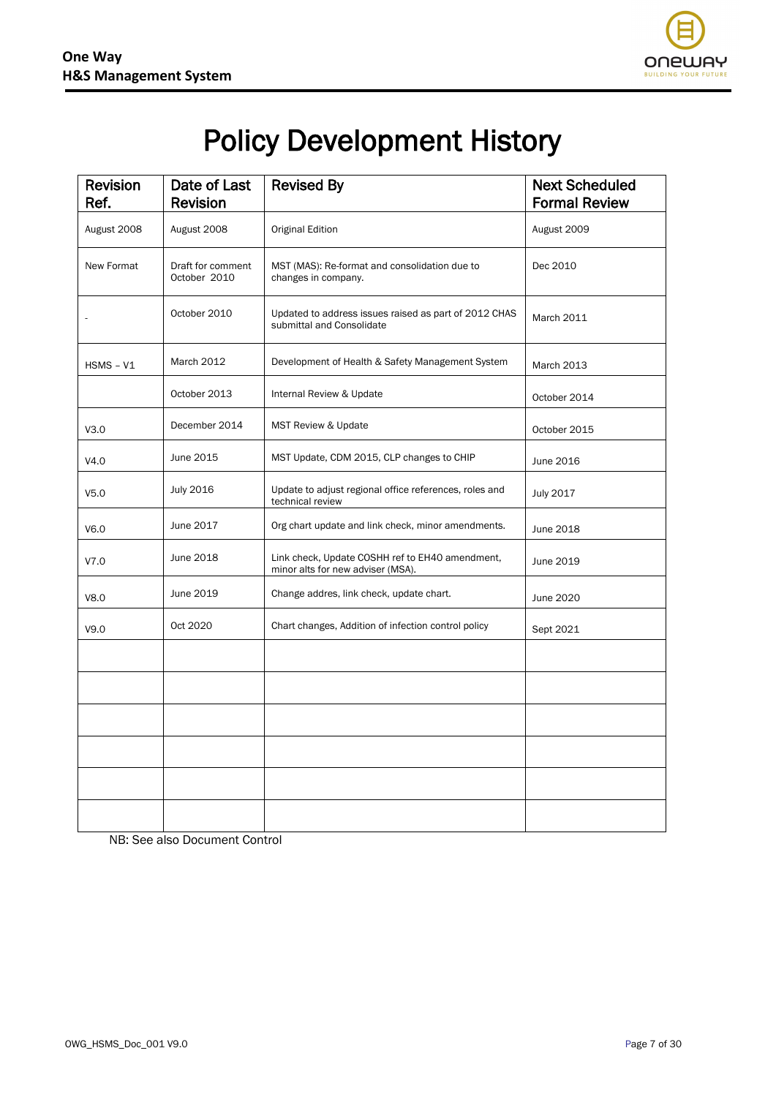

# Policy Development History

| <b>Revision</b><br>Ref. | Date of Last<br><b>Revision</b>   | <b>Revised By</b>                                                                    | <b>Next Scheduled</b><br><b>Formal Review</b> |
|-------------------------|-----------------------------------|--------------------------------------------------------------------------------------|-----------------------------------------------|
| August 2008             | August 2008                       | Original Edition                                                                     | August 2009                                   |
| New Format              | Draft for comment<br>October 2010 | MST (MAS): Re-format and consolidation due to<br>changes in company.                 | Dec 2010                                      |
|                         | October 2010                      | Updated to address issues raised as part of 2012 CHAS<br>submittal and Consolidate   | <b>March 2011</b>                             |
| $HSMS - V1$             | <b>March 2012</b>                 | Development of Health & Safety Management System                                     | <b>March 2013</b>                             |
|                         | October 2013                      | Internal Review & Update                                                             | October 2014                                  |
| V3.0                    | December 2014                     | MST Review & Update                                                                  | October 2015                                  |
| V4.0                    | June 2015                         | MST Update, CDM 2015, CLP changes to CHIP                                            | June 2016                                     |
| V <sub>5.0</sub>        | <b>July 2016</b>                  | Update to adjust regional office references, roles and<br>technical review           | <b>July 2017</b>                              |
| V6.0                    | June 2017                         | Org chart update and link check, minor amendments.                                   | June 2018                                     |
| V7.0                    | June 2018                         | Link check, Update COSHH ref to EH40 amendment,<br>minor alts for new adviser (MSA). | June 2019                                     |
| V8.0                    | June 2019                         | Change addres, link check, update chart.                                             | June 2020                                     |
| V9.0                    | Oct 2020                          | Chart changes, Addition of infection control policy                                  | Sept 2021                                     |
|                         |                                   |                                                                                      |                                               |
|                         |                                   |                                                                                      |                                               |
|                         |                                   |                                                                                      |                                               |
|                         |                                   |                                                                                      |                                               |
|                         |                                   |                                                                                      |                                               |
|                         |                                   |                                                                                      |                                               |

NB: See also Document Control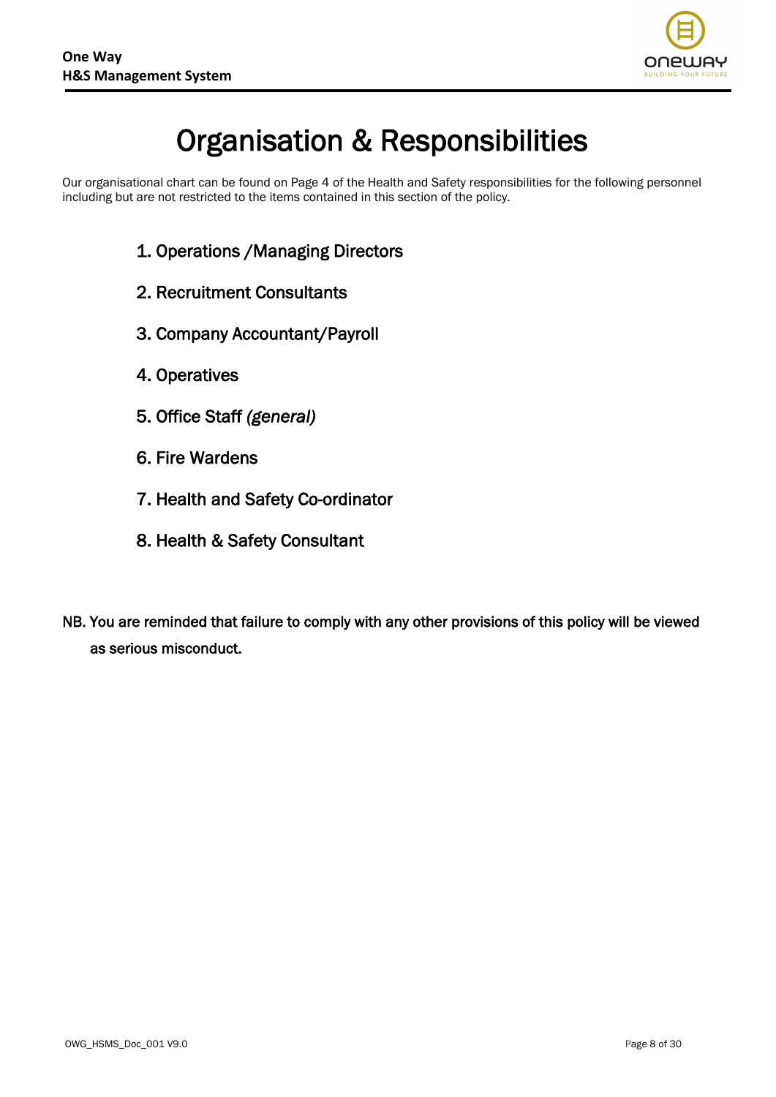

# Organisation & Responsibilities

Our organisational chart can be found on Page 4 of the Health and Safety responsibilities for the following personnel including but are not restricted to the items contained in this section of the policy.

- 1. Operations /Managing Directors
- 2. Recruitment Consultants
- 3. Company Accountant/Payroll
- 4. Operatives
- 5. Office Staff *(general)*
- 6. Fire Wardens
- 7. Health and Safety Co-ordinator
- 8. Health & Safety Consultant
- NB. You are reminded that failure to comply with any other provisions of this policy will be viewed as serious misconduct.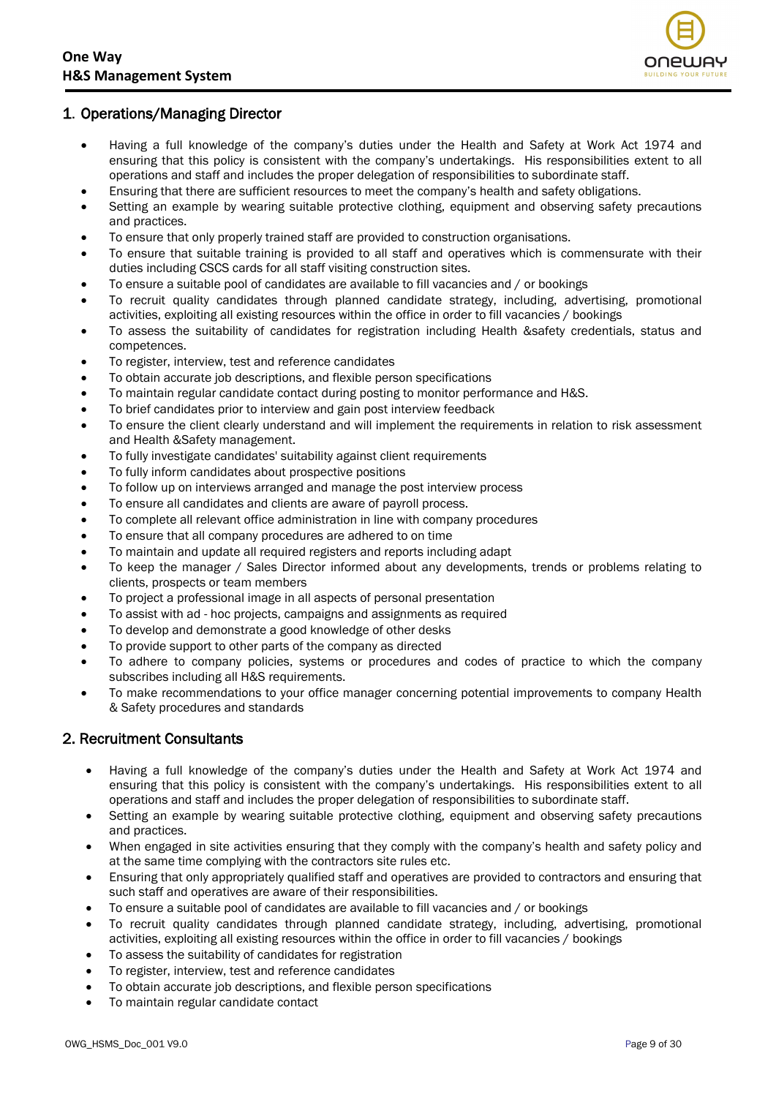

#### 1. Operations/Managing Director

- Having a full knowledge of the company's duties under the Health and Safety at Work Act 1974 and ensuring that this policy is consistent with the company's undertakings. His responsibilities extent to all operations and staff and includes the proper delegation of responsibilities to subordinate staff.
- Ensuring that there are sufficient resources to meet the company's health and safety obligations.
- Setting an example by wearing suitable protective clothing, equipment and observing safety precautions and practices.
- To ensure that only properly trained staff are provided to construction organisations.
- To ensure that suitable training is provided to all staff and operatives which is commensurate with their duties including CSCS cards for all staff visiting construction sites.
- To ensure a suitable pool of candidates are available to fill vacancies and / or bookings
- To recruit quality candidates through planned candidate strategy, including, advertising, promotional activities, exploiting all existing resources within the office in order to fill vacancies / bookings
- To assess the suitability of candidates for registration including Health &safety credentials, status and competences.
- To register, interview, test and reference candidates
- To obtain accurate job descriptions, and flexible person specifications
- To maintain regular candidate contact during posting to monitor performance and H&S.
- To brief candidates prior to interview and gain post interview feedback
- To ensure the client clearly understand and will implement the requirements in relation to risk assessment and Health &Safety management.
- To fully investigate candidates' suitability against client requirements
- To fully inform candidates about prospective positions
- To follow up on interviews arranged and manage the post interview process
- To ensure all candidates and clients are aware of payroll process.
- To complete all relevant office administration in line with company procedures
- To ensure that all company procedures are adhered to on time
- To maintain and update all required registers and reports including adapt
- To keep the manager / Sales Director informed about any developments, trends or problems relating to clients, prospects or team members
- To project a professional image in all aspects of personal presentation
- To assist with ad hoc projects, campaigns and assignments as required
- To develop and demonstrate a good knowledge of other desks
- To provide support to other parts of the company as directed
- To adhere to company policies, systems or procedures and codes of practice to which the company subscribes including all H&S requirements.
- To make recommendations to your office manager concerning potential improvements to company Health & Safety procedures and standards

#### 2. Recruitment Consultants

- Having a full knowledge of the company's duties under the Health and Safety at Work Act 1974 and ensuring that this policy is consistent with the company's undertakings. His responsibilities extent to all operations and staff and includes the proper delegation of responsibilities to subordinate staff.
- Setting an example by wearing suitable protective clothing, equipment and observing safety precautions and practices.
- When engaged in site activities ensuring that they comply with the company's health and safety policy and at the same time complying with the contractors site rules etc.
- Ensuring that only appropriately qualified staff and operatives are provided to contractors and ensuring that such staff and operatives are aware of their responsibilities.
- To ensure a suitable pool of candidates are available to fill vacancies and / or bookings
- To recruit quality candidates through planned candidate strategy, including, advertising, promotional activities, exploiting all existing resources within the office in order to fill vacancies / bookings
- To assess the suitability of candidates for registration
- To register, interview, test and reference candidates
- To obtain accurate job descriptions, and flexible person specifications
- To maintain regular candidate contact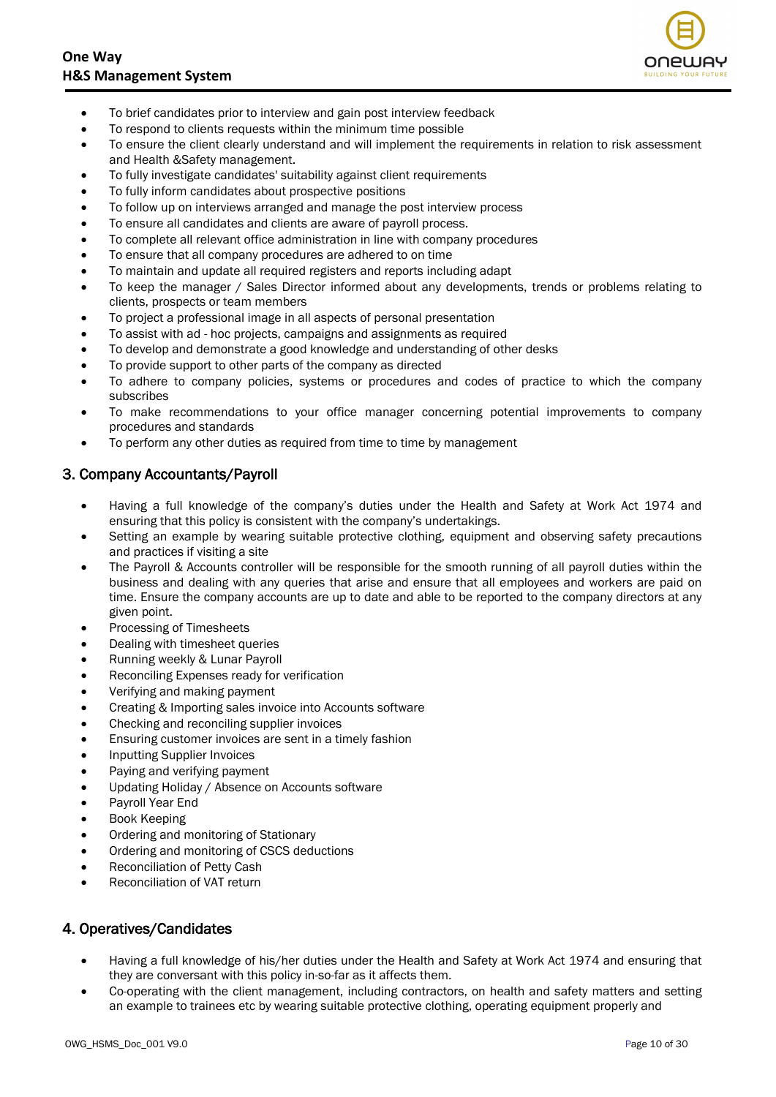

- To brief candidates prior to interview and gain post interview feedback
- To respond to clients requests within the minimum time possible
- To ensure the client clearly understand and will implement the requirements in relation to risk assessment and Health &Safety management.
- To fully investigate candidates' suitability against client requirements
- To fully inform candidates about prospective positions
- To follow up on interviews arranged and manage the post interview process
- To ensure all candidates and clients are aware of payroll process.
- To complete all relevant office administration in line with company procedures
- To ensure that all company procedures are adhered to on time
- To maintain and update all required registers and reports including adapt
- To keep the manager / Sales Director informed about any developments, trends or problems relating to clients, prospects or team members
- To project a professional image in all aspects of personal presentation
- To assist with ad hoc projects, campaigns and assignments as required
- To develop and demonstrate a good knowledge and understanding of other desks
- To provide support to other parts of the company as directed
- To adhere to company policies, systems or procedures and codes of practice to which the company subscribes
- To make recommendations to your office manager concerning potential improvements to company procedures and standards
- To perform any other duties as required from time to time by management

#### 3. Company Accountants/Payroll

- Having a full knowledge of the company's duties under the Health and Safety at Work Act 1974 and ensuring that this policy is consistent with the company's undertakings.
- Setting an example by wearing suitable protective clothing, equipment and observing safety precautions and practices if visiting a site
- The Payroll & Accounts controller will be responsible for the smooth running of all payroll duties within the business and dealing with any queries that arise and ensure that all employees and workers are paid on time. Ensure the company accounts are up to date and able to be reported to the company directors at any given point.
- Processing of Timesheets
- Dealing with timesheet queries
- Running weekly & Lunar Payroll
- Reconciling Expenses ready for verification
- Verifying and making payment
- Creating & Importing sales invoice into Accounts software
- Checking and reconciling supplier invoices
- Ensuring customer invoices are sent in a timely fashion
- Inputting Supplier Invoices
- Paying and verifying payment
- Updating Holiday / Absence on Accounts software
- Payroll Year End
- Book Keeping
- Ordering and monitoring of Stationary
- Ordering and monitoring of CSCS deductions
- Reconciliation of Petty Cash
- Reconciliation of VAT return

#### 4. Operatives/Candidates

- Having a full knowledge of his/her duties under the Health and Safety at Work Act 1974 and ensuring that they are conversant with this policy in-so-far as it affects them.
- Co-operating with the client management, including contractors, on health and safety matters and setting an example to trainees etc by wearing suitable protective clothing, operating equipment properly and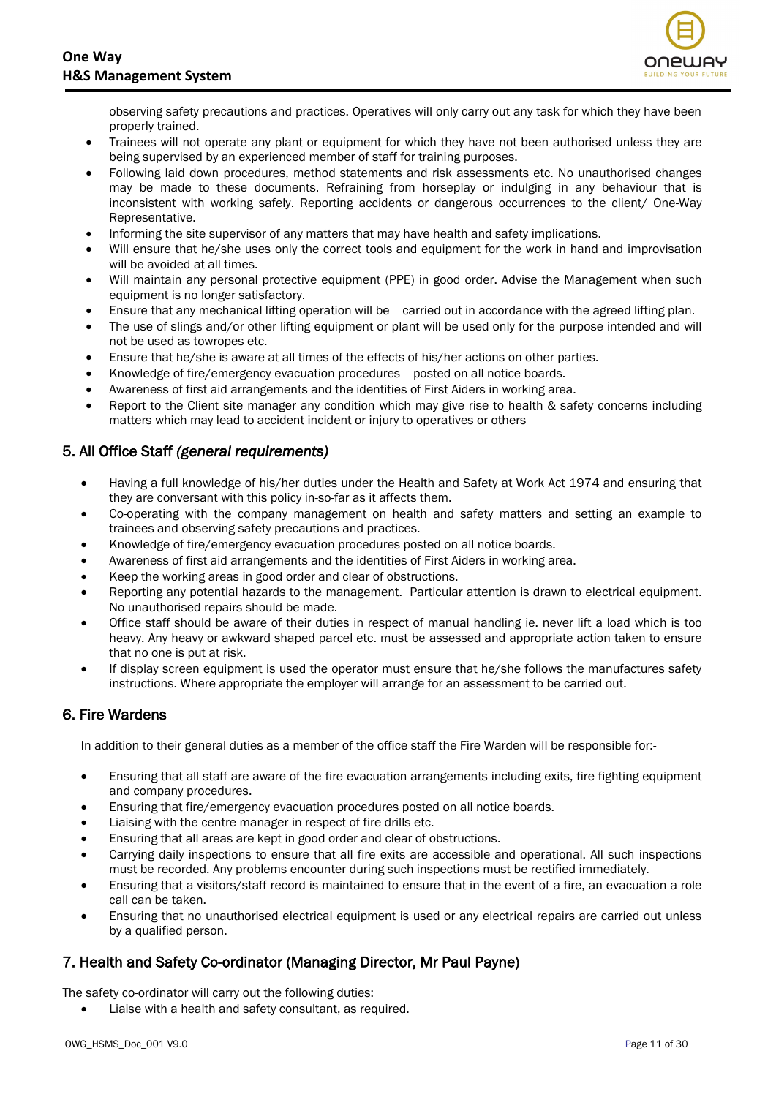

observing safety precautions and practices. Operatives will only carry out any task for which they have been properly trained.

- Trainees will not operate any plant or equipment for which they have not been authorised unless they are being supervised by an experienced member of staff for training purposes.
- Following laid down procedures, method statements and risk assessments etc. No unauthorised changes may be made to these documents. Refraining from horseplay or indulging in any behaviour that is inconsistent with working safely. Reporting accidents or dangerous occurrences to the client/ One-Way Representative.
- Informing the site supervisor of any matters that may have health and safety implications.
- Will ensure that he/she uses only the correct tools and equipment for the work in hand and improvisation will be avoided at all times.
- Will maintain any personal protective equipment (PPE) in good order. Advise the Management when such equipment is no longer satisfactory.
- Ensure that any mechanical lifting operation will be carried out in accordance with the agreed lifting plan.
- The use of slings and/or other lifting equipment or plant will be used only for the purpose intended and will not be used as towropes etc.
- Ensure that he/she is aware at all times of the effects of his/her actions on other parties.
- Knowledge of fire/emergency evacuation procedures posted on all notice boards.
- Awareness of first aid arrangements and the identities of First Aiders in working area.
- Report to the Client site manager any condition which may give rise to health & safety concerns including matters which may lead to accident incident or injury to operatives or others

#### 5. All Office Staff *(general requirements)*

- Having a full knowledge of his/her duties under the Health and Safety at Work Act 1974 and ensuring that they are conversant with this policy in-so-far as it affects them.
- Co-operating with the company management on health and safety matters and setting an example to trainees and observing safety precautions and practices.
- Knowledge of fire/emergency evacuation procedures posted on all notice boards.
- Awareness of first aid arrangements and the identities of First Aiders in working area.
- Keep the working areas in good order and clear of obstructions.
- Reporting any potential hazards to the management. Particular attention is drawn to electrical equipment. No unauthorised repairs should be made.
- Office staff should be aware of their duties in respect of manual handling ie. never lift a load which is too heavy. Any heavy or awkward shaped parcel etc. must be assessed and appropriate action taken to ensure that no one is put at risk.
- If display screen equipment is used the operator must ensure that he/she follows the manufactures safety instructions. Where appropriate the employer will arrange for an assessment to be carried out.

#### 6. Fire Wardens

In addition to their general duties as a member of the office staff the Fire Warden will be responsible for:-

- Ensuring that all staff are aware of the fire evacuation arrangements including exits, fire fighting equipment and company procedures.
- Ensuring that fire/emergency evacuation procedures posted on all notice boards.
- Liaising with the centre manager in respect of fire drills etc.
- Ensuring that all areas are kept in good order and clear of obstructions.
- Carrying daily inspections to ensure that all fire exits are accessible and operational. All such inspections must be recorded. Any problems encounter during such inspections must be rectified immediately.
- Ensuring that a visitors/staff record is maintained to ensure that in the event of a fire, an evacuation a role call can be taken.
- Ensuring that no unauthorised electrical equipment is used or any electrical repairs are carried out unless by a qualified person.

#### 7. Health and Safety Co-ordinator (Managing Director, Mr Paul Payne)

The safety co-ordinator will carry out the following duties:

• Liaise with a health and safety consultant, as required.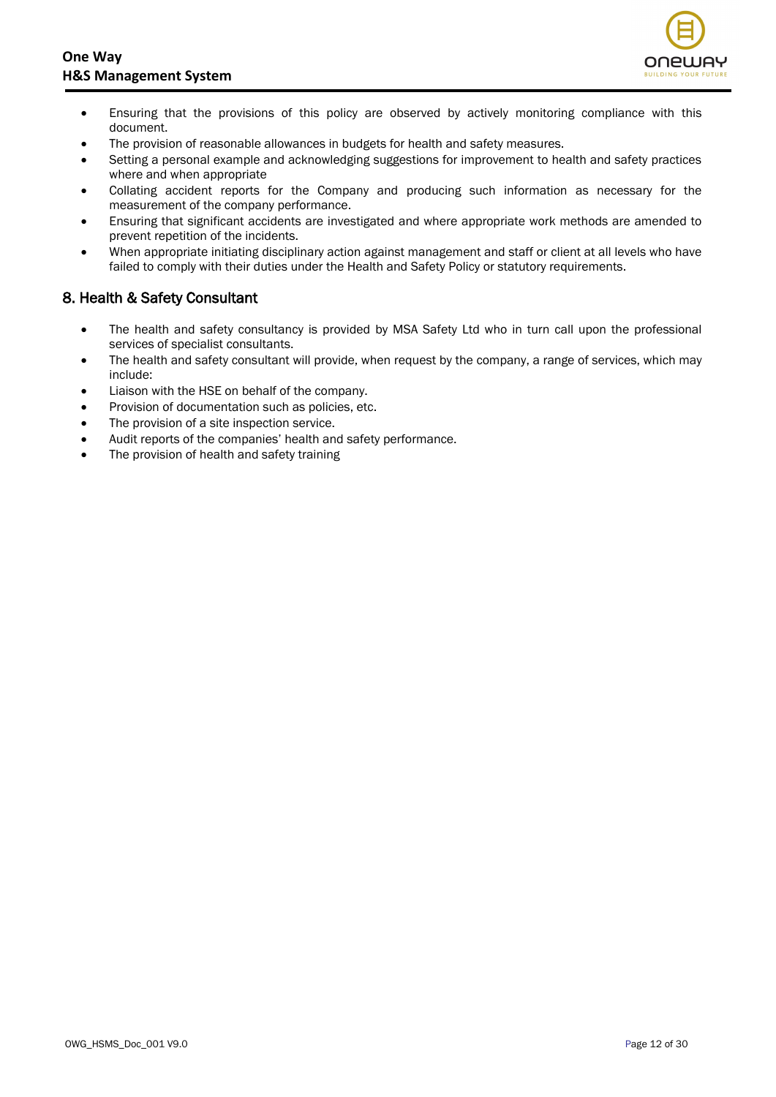

- Ensuring that the provisions of this policy are observed by actively monitoring compliance with this document.
- The provision of reasonable allowances in budgets for health and safety measures.
- Setting a personal example and acknowledging suggestions for improvement to health and safety practices where and when appropriate
- Collating accident reports for the Company and producing such information as necessary for the measurement of the company performance.
- Ensuring that significant accidents are investigated and where appropriate work methods are amended to prevent repetition of the incidents.
- When appropriate initiating disciplinary action against management and staff or client at all levels who have failed to comply with their duties under the Health and Safety Policy or statutory requirements.

#### 8. Health & Safety Consultant

- The health and safety consultancy is provided by MSA Safety Ltd who in turn call upon the professional services of specialist consultants.
- The health and safety consultant will provide, when request by the company, a range of services, which may include:
- Liaison with the HSE on behalf of the company.
- Provision of documentation such as policies, etc.
- The provision of a site inspection service.
- Audit reports of the companies' health and safety performance.
- The provision of health and safety training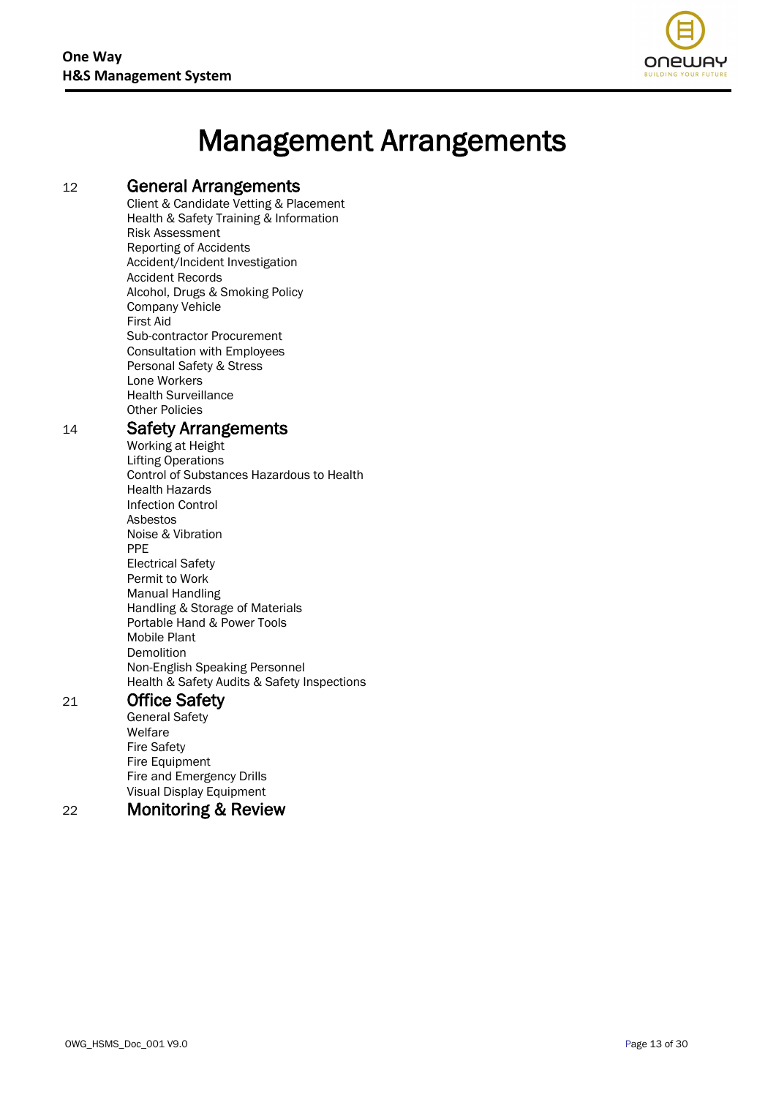

# Management Arrangements

#### <sup>12</sup> General Arrangements

Client & Candidate Vetting & Placement Health & Safety Training & Information Risk Assessment Reporting of Accidents Accident/Incident Investigation Accident Records Alcohol, Drugs & Smoking Policy Company Vehicle First Aid Sub-contractor Procurement Consultation with Employees Personal Safety & Stress Lone Workers Health Surveillance Other Policies

#### <sup>14</sup> Safety Arrangements

Working at Height Lifting Operations Control of Substances Hazardous to Health Health Hazards Infection Control Asbestos Noise & Vibration PPE Electrical Safety Permit to Work Manual Handling Handling & Storage of Materials Portable Hand & Power Tools Mobile Plant Demolition Non-English Speaking Personnel Health & Safety Audits & Safety Inspections

#### 21 Office Safety

General Safety Welfare Fire Safety Fire Equipment Fire and Emergency Drills Visual Display Equipment

# 22 Monitoring & Review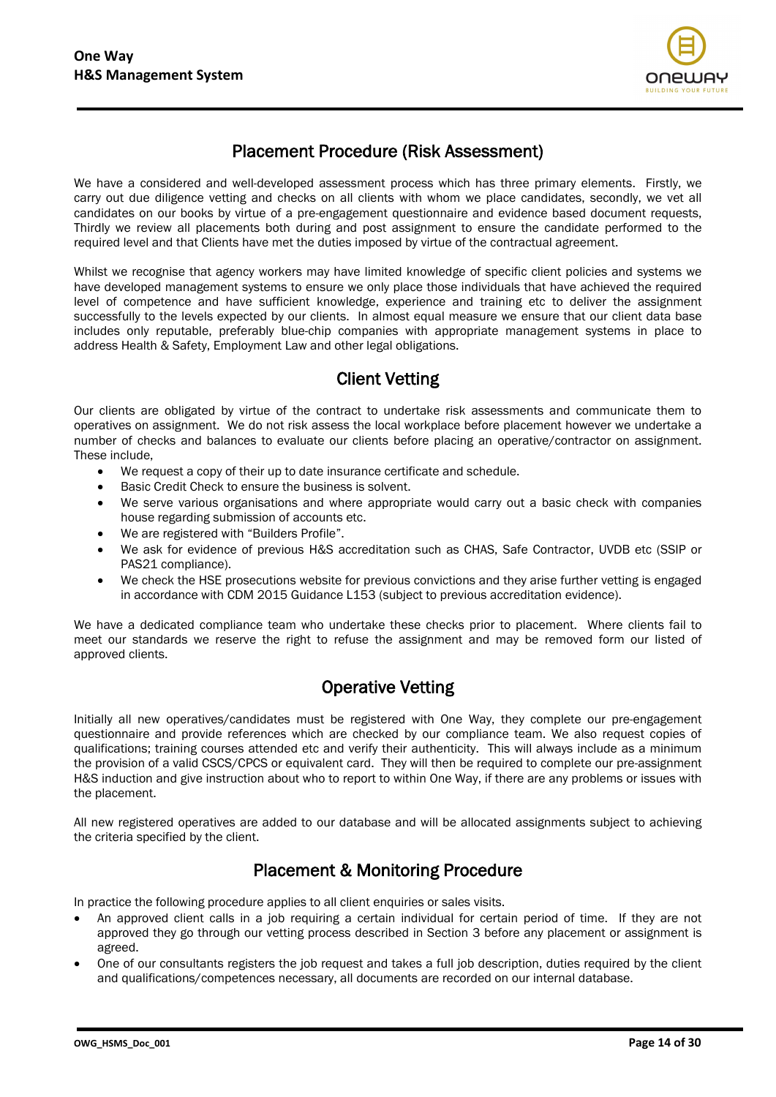

## Placement Procedure (Risk Assessment)

We have a considered and well-developed assessment process which has three primary elements. Firstly, we carry out due diligence vetting and checks on all clients with whom we place candidates, secondly, we vet all candidates on our books by virtue of a pre-engagement questionnaire and evidence based document requests, Thirdly we review all placements both during and post assignment to ensure the candidate performed to the required level and that Clients have met the duties imposed by virtue of the contractual agreement.

Whilst we recognise that agency workers may have limited knowledge of specific client policies and systems we have developed management systems to ensure we only place those individuals that have achieved the required level of competence and have sufficient knowledge, experience and training etc to deliver the assignment successfully to the levels expected by our clients. In almost equal measure we ensure that our client data base includes only reputable, preferably blue-chip companies with appropriate management systems in place to address Health & Safety, Employment Law and other legal obligations.

## Client Vetting

Our clients are obligated by virtue of the contract to undertake risk assessments and communicate them to operatives on assignment. We do not risk assess the local workplace before placement however we undertake a number of checks and balances to evaluate our clients before placing an operative/contractor on assignment. These include,

- We request a copy of their up to date insurance certificate and schedule.
- Basic Credit Check to ensure the business is solvent.
- We serve various organisations and where appropriate would carry out a basic check with companies house regarding submission of accounts etc.
- We are registered with "Builders Profile".
- We ask for evidence of previous H&S accreditation such as CHAS, Safe Contractor, UVDB etc (SSIP or PAS21 compliance).
- We check the HSE prosecutions website for previous convictions and they arise further vetting is engaged in accordance with CDM 2015 Guidance L153 (subject to previous accreditation evidence).

We have a dedicated compliance team who undertake these checks prior to placement. Where clients fail to meet our standards we reserve the right to refuse the assignment and may be removed form our listed of approved clients.

## Operative Vetting

Initially all new operatives/candidates must be registered with One Way, they complete our pre-engagement questionnaire and provide references which are checked by our compliance team. We also request copies of qualifications; training courses attended etc and verify their authenticity. This will always include as a minimum the provision of a valid CSCS/CPCS or equivalent card. They will then be required to complete our pre-assignment H&S induction and give instruction about who to report to within One Way, if there are any problems or issues with the placement.

All new registered operatives are added to our database and will be allocated assignments subject to achieving the criteria specified by the client.

## Placement & Monitoring Procedure

In practice the following procedure applies to all client enquiries or sales visits.

- An approved client calls in a job requiring a certain individual for certain period of time. If they are not approved they go through our vetting process described in Section 3 before any placement or assignment is agreed.
- One of our consultants registers the job request and takes a full job description, duties required by the client and qualifications/competences necessary, all documents are recorded on our internal database.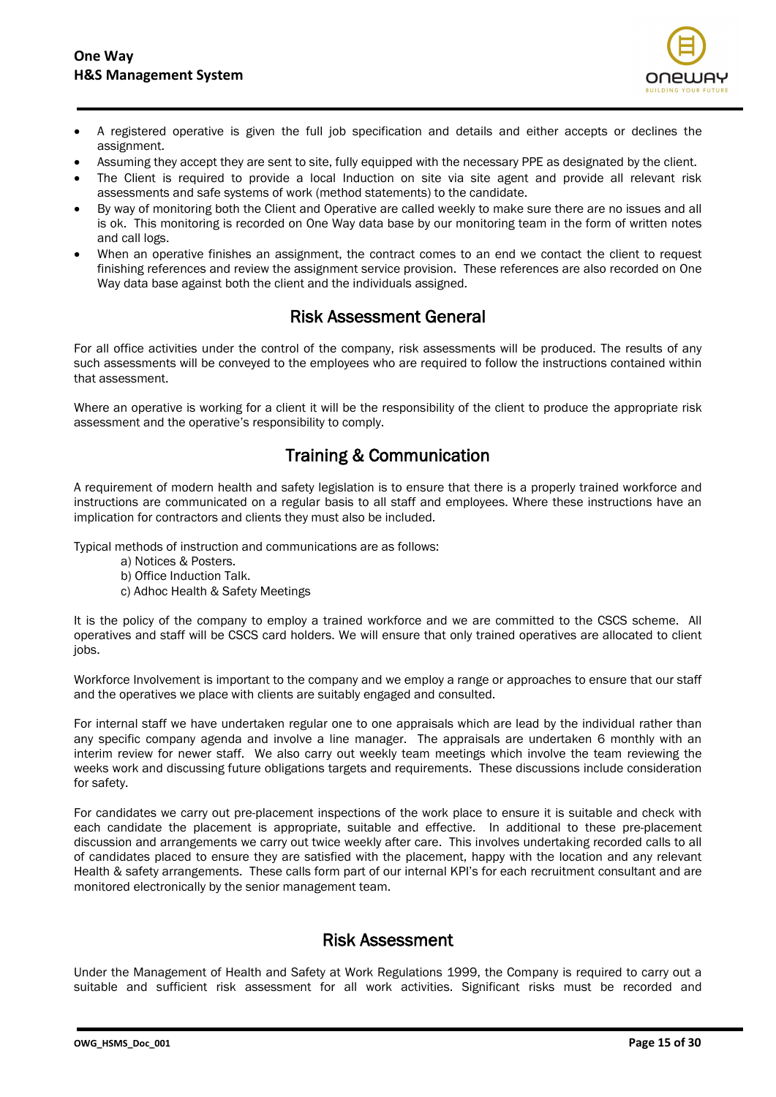

- A registered operative is given the full job specification and details and either accepts or declines the assignment.
- Assuming they accept they are sent to site, fully equipped with the necessary PPE as designated by the client.
- The Client is required to provide a local Induction on site via site agent and provide all relevant risk assessments and safe systems of work (method statements) to the candidate.
- By way of monitoring both the Client and Operative are called weekly to make sure there are no issues and all is ok. This monitoring is recorded on One Way data base by our monitoring team in the form of written notes and call logs.
- When an operative finishes an assignment, the contract comes to an end we contact the client to request finishing references and review the assignment service provision. These references are also recorded on One Way data base against both the client and the individuals assigned.

#### Risk Assessment General

For all office activities under the control of the company, risk assessments will be produced. The results of any such assessments will be conveyed to the employees who are required to follow the instructions contained within that assessment.

Where an operative is working for a client it will be the responsibility of the client to produce the appropriate risk assessment and the operative's responsibility to comply.

## Training & Communication

A requirement of modern health and safety legislation is to ensure that there is a properly trained workforce and instructions are communicated on a regular basis to all staff and employees. Where these instructions have an implication for contractors and clients they must also be included.

Typical methods of instruction and communications are as follows:

- a) Notices & Posters.
- b) Office Induction Talk.
- c) Adhoc Health & Safety Meetings

It is the policy of the company to employ a trained workforce and we are committed to the CSCS scheme. All operatives and staff will be CSCS card holders. We will ensure that only trained operatives are allocated to client jobs.

Workforce Involvement is important to the company and we employ a range or approaches to ensure that our staff and the operatives we place with clients are suitably engaged and consulted.

For internal staff we have undertaken regular one to one appraisals which are lead by the individual rather than any specific company agenda and involve a line manager. The appraisals are undertaken 6 monthly with an interim review for newer staff. We also carry out weekly team meetings which involve the team reviewing the weeks work and discussing future obligations targets and requirements. These discussions include consideration for safety.

For candidates we carry out pre-placement inspections of the work place to ensure it is suitable and check with each candidate the placement is appropriate, suitable and effective. In additional to these pre-placement discussion and arrangements we carry out twice weekly after care. This involves undertaking recorded calls to all of candidates placed to ensure they are satisfied with the placement, happy with the location and any relevant Health & safety arrangements. These calls form part of our internal KPI's for each recruitment consultant and are monitored electronically by the senior management team.

## Risk Assessment

Under the Management of Health and Safety at Work Regulations 1999, the Company is required to carry out a suitable and sufficient risk assessment for all work activities. Significant risks must be recorded and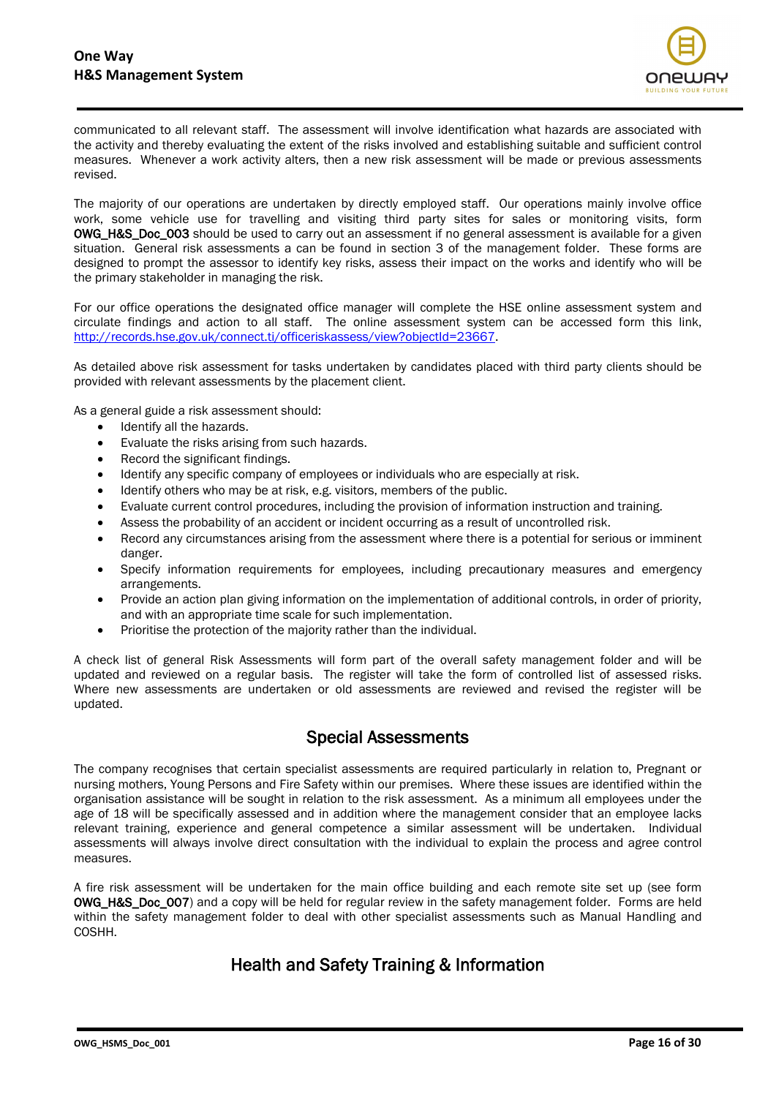

communicated to all relevant staff. The assessment will involve identification what hazards are associated with the activity and thereby evaluating the extent of the risks involved and establishing suitable and sufficient control measures. Whenever a work activity alters, then a new risk assessment will be made or previous assessments revised.

The majority of our operations are undertaken by directly employed staff. Our operations mainly involve office work, some vehicle use for travelling and visiting third party sites for sales or monitoring visits, form OWG\_H&S\_Doc\_003 should be used to carry out an assessment if no general assessment is available for a given situation. General risk assessments a can be found in section 3 of the management folder. These forms are designed to prompt the assessor to identify key risks, assess their impact on the works and identify who will be the primary stakeholder in managing the risk.

For our office operations the designated office manager will complete the HSE online assessment system and circulate findings and action to all staff. The online assessment system can be accessed form this link, [http://records.hse.gov.uk/connect.ti/officeriskassess/view?objectId=23667.](http://records.hse.gov.uk/connect.ti/officeriskassess/view?objectId=23667)

As detailed above risk assessment for tasks undertaken by candidates placed with third party clients should be provided with relevant assessments by the placement client.

As a general guide a risk assessment should:

- Identify all the hazards.
- Evaluate the risks arising from such hazards.
- Record the significant findings.
- Identify any specific company of employees or individuals who are especially at risk.
- Identify others who may be at risk, e.g. visitors, members of the public.
- Evaluate current control procedures, including the provision of information instruction and training.
- Assess the probability of an accident or incident occurring as a result of uncontrolled risk.
- Record any circumstances arising from the assessment where there is a potential for serious or imminent danger.
- Specify information requirements for employees, including precautionary measures and emergency arrangements.
- Provide an action plan giving information on the implementation of additional controls, in order of priority, and with an appropriate time scale for such implementation.
- Prioritise the protection of the majority rather than the individual.

A check list of general Risk Assessments will form part of the overall safety management folder and will be updated and reviewed on a regular basis. The register will take the form of controlled list of assessed risks. Where new assessments are undertaken or old assessments are reviewed and revised the register will be updated.

#### Special Assessments

The company recognises that certain specialist assessments are required particularly in relation to, Pregnant or nursing mothers, Young Persons and Fire Safety within our premises. Where these issues are identified within the organisation assistance will be sought in relation to the risk assessment. As a minimum all employees under the age of 18 will be specifically assessed and in addition where the management consider that an employee lacks relevant training, experience and general competence a similar assessment will be undertaken. Individual assessments will always involve direct consultation with the individual to explain the process and agree control measures.

A fire risk assessment will be undertaken for the main office building and each remote site set up (see form OWG\_H&S\_Doc\_007) and a copy will be held for regular review in the safety management folder. Forms are held within the safety management folder to deal with other specialist assessments such as Manual Handling and COSHH.

## Health and Safety Training & Information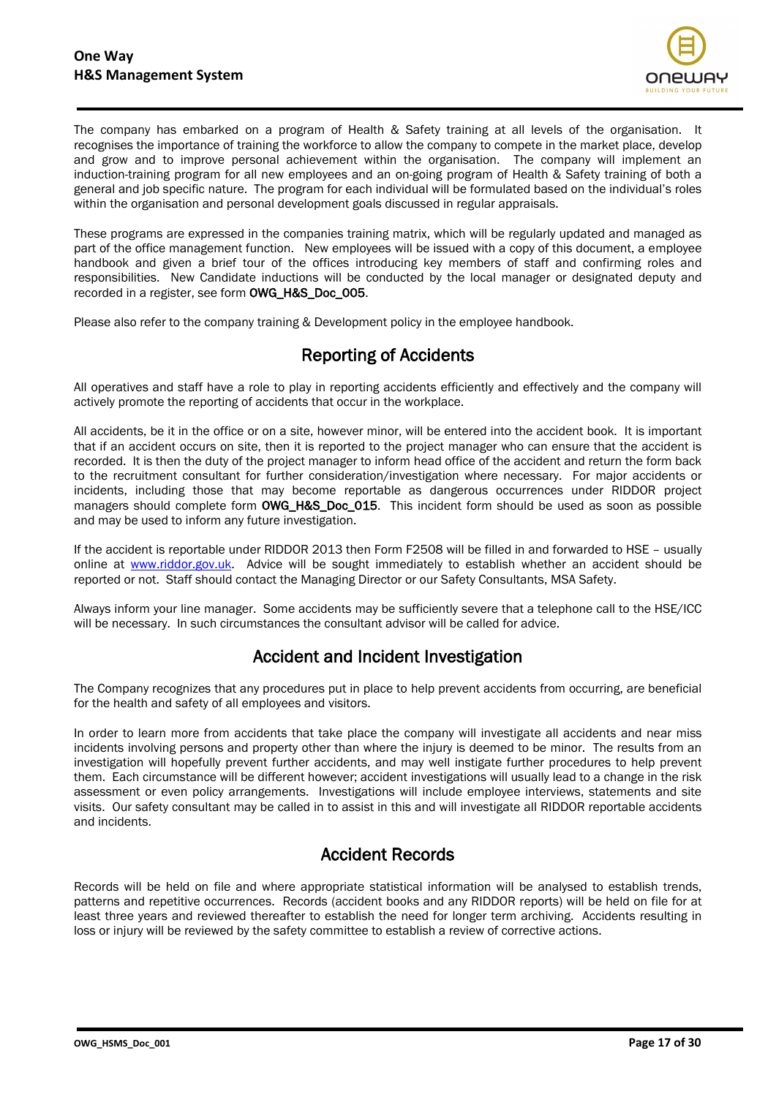

The company has embarked on a program of Health & Safety training at all levels of the organisation. It recognises the importance of training the workforce to allow the company to compete in the market place, develop and grow and to improve personal achievement within the organisation. The company will implement an induction-training program for all new employees and an on-going program of Health & Safety training of both a general and job specific nature. The program for each individual will be formulated based on the individual's roles within the organisation and personal development goals discussed in regular appraisals.

These programs are expressed in the companies training matrix, which will be regularly updated and managed as part of the office management function. New employees will be issued with a copy of this document, a employee handbook and given a brief tour of the offices introducing key members of staff and confirming roles and responsibilities. New Candidate inductions will be conducted by the local manager or designated deputy and recorded in a register, see form OWG\_H&S\_Doc\_005.

Please also refer to the company training & Development policy in the employee handbook.

## Reporting of Accidents

All operatives and staff have a role to play in reporting accidents efficiently and effectively and the company will actively promote the reporting of accidents that occur in the workplace.

All accidents, be it in the office or on a site, however minor, will be entered into the accident book. It is important that if an accident occurs on site, then it is reported to the project manager who can ensure that the accident is recorded. It is then the duty of the project manager to inform head office of the accident and return the form back to the recruitment consultant for further consideration/investigation where necessary. For major accidents or incidents, including those that may become reportable as dangerous occurrences under RIDDOR project managers should complete form OWG\_H&S\_Doc\_015. This incident form should be used as soon as possible and may be used to inform any future investigation.

If the accident is reportable under RIDDOR 2013 then Form F2508 will be filled in and forwarded to HSE – usually online at [www.riddor.gov.uk.](http://www.riddor.gov.uk/) Advice will be sought immediately to establish whether an accident should be reported or not. Staff should contact the Managing Director or our Safety Consultants, MSA Safety.

Always inform your line manager. Some accidents may be sufficiently severe that a telephone call to the HSE/ICC will be necessary. In such circumstances the consultant advisor will be called for advice.

## Accident and Incident Investigation

The Company recognizes that any procedures put in place to help prevent accidents from occurring, are beneficial for the health and safety of all employees and visitors.

In order to learn more from accidents that take place the company will investigate all accidents and near miss incidents involving persons and property other than where the injury is deemed to be minor. The results from an investigation will hopefully prevent further accidents, and may well instigate further procedures to help prevent them. Each circumstance will be different however; accident investigations will usually lead to a change in the risk assessment or even policy arrangements. Investigations will include employee interviews, statements and site visits. Our safety consultant may be called in to assist in this and will investigate all RIDDOR reportable accidents and incidents.

## Accident Records

Records will be held on file and where appropriate statistical information will be analysed to establish trends, patterns and repetitive occurrences. Records (accident books and any RIDDOR reports) will be held on file for at least three years and reviewed thereafter to establish the need for longer term archiving. Accidents resulting in loss or injury will be reviewed by the safety committee to establish a review of corrective actions.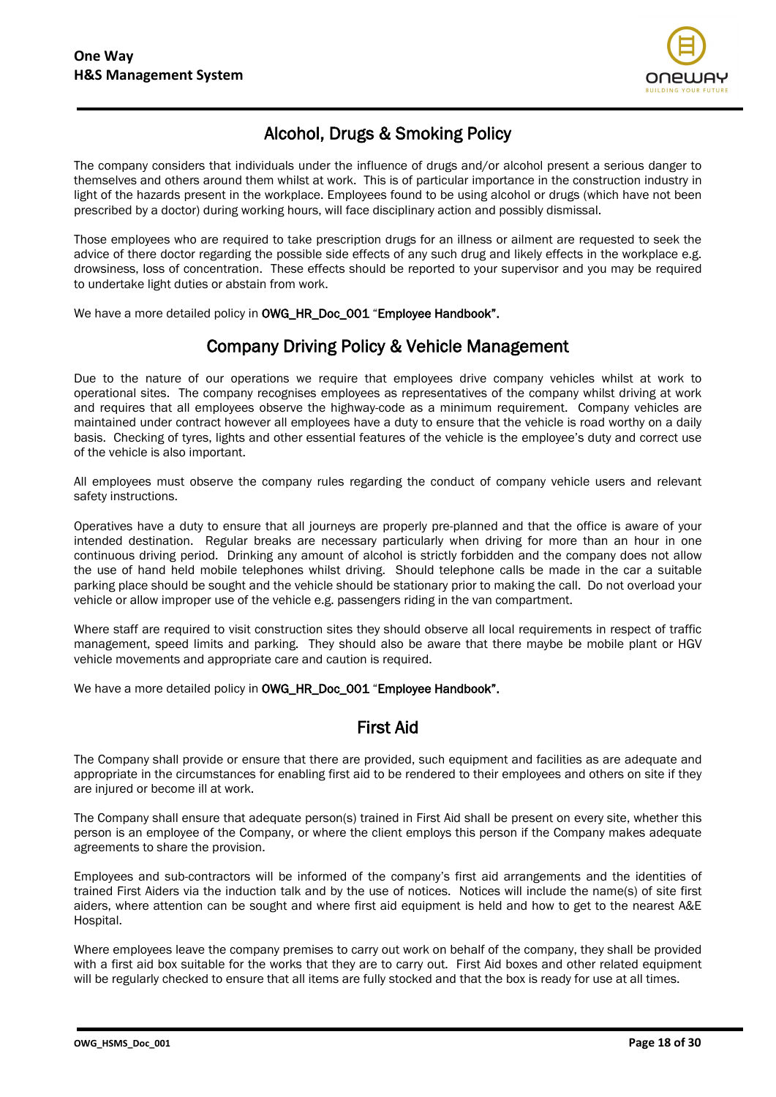

# Alcohol, Drugs & Smoking Policy

The company considers that individuals under the influence of drugs and/or alcohol present a serious danger to themselves and others around them whilst at work. This is of particular importance in the construction industry in light of the hazards present in the workplace. Employees found to be using alcohol or drugs (which have not been prescribed by a doctor) during working hours, will face disciplinary action and possibly dismissal.

Those employees who are required to take prescription drugs for an illness or ailment are requested to seek the advice of there doctor regarding the possible side effects of any such drug and likely effects in the workplace e.g. drowsiness, loss of concentration. These effects should be reported to your supervisor and you may be required to undertake light duties or abstain from work.

We have a more detailed policy in OWG\_HR\_Doc\_001 "Employee Handbook".

## Company Driving Policy & Vehicle Management

Due to the nature of our operations we require that employees drive company vehicles whilst at work to operational sites. The company recognises employees as representatives of the company whilst driving at work and requires that all employees observe the highway-code as a minimum requirement. Company vehicles are maintained under contract however all employees have a duty to ensure that the vehicle is road worthy on a daily basis. Checking of tyres, lights and other essential features of the vehicle is the employee's duty and correct use of the vehicle is also important.

All employees must observe the company rules regarding the conduct of company vehicle users and relevant safety instructions.

Operatives have a duty to ensure that all journeys are properly pre-planned and that the office is aware of your intended destination. Regular breaks are necessary particularly when driving for more than an hour in one continuous driving period. Drinking any amount of alcohol is strictly forbidden and the company does not allow the use of hand held mobile telephones whilst driving. Should telephone calls be made in the car a suitable parking place should be sought and the vehicle should be stationary prior to making the call. Do not overload your vehicle or allow improper use of the vehicle e.g. passengers riding in the van compartment.

Where staff are required to visit construction sites they should observe all local requirements in respect of traffic management, speed limits and parking. They should also be aware that there maybe be mobile plant or HGV vehicle movements and appropriate care and caution is required.

We have a more detailed policy in OWG\_HR\_Doc\_001 "Employee Handbook".

#### First Aid

The Company shall provide or ensure that there are provided, such equipment and facilities as are adequate and appropriate in the circumstances for enabling first aid to be rendered to their employees and others on site if they are injured or become ill at work.

The Company shall ensure that adequate person(s) trained in First Aid shall be present on every site, whether this person is an employee of the Company, or where the client employs this person if the Company makes adequate agreements to share the provision.

Employees and sub-contractors will be informed of the company's first aid arrangements and the identities of trained First Aiders via the induction talk and by the use of notices. Notices will include the name(s) of site first aiders, where attention can be sought and where first aid equipment is held and how to get to the nearest A&E Hospital.

Where employees leave the company premises to carry out work on behalf of the company, they shall be provided with a first aid box suitable for the works that they are to carry out. First Aid boxes and other related equipment will be regularly checked to ensure that all items are fully stocked and that the box is ready for use at all times.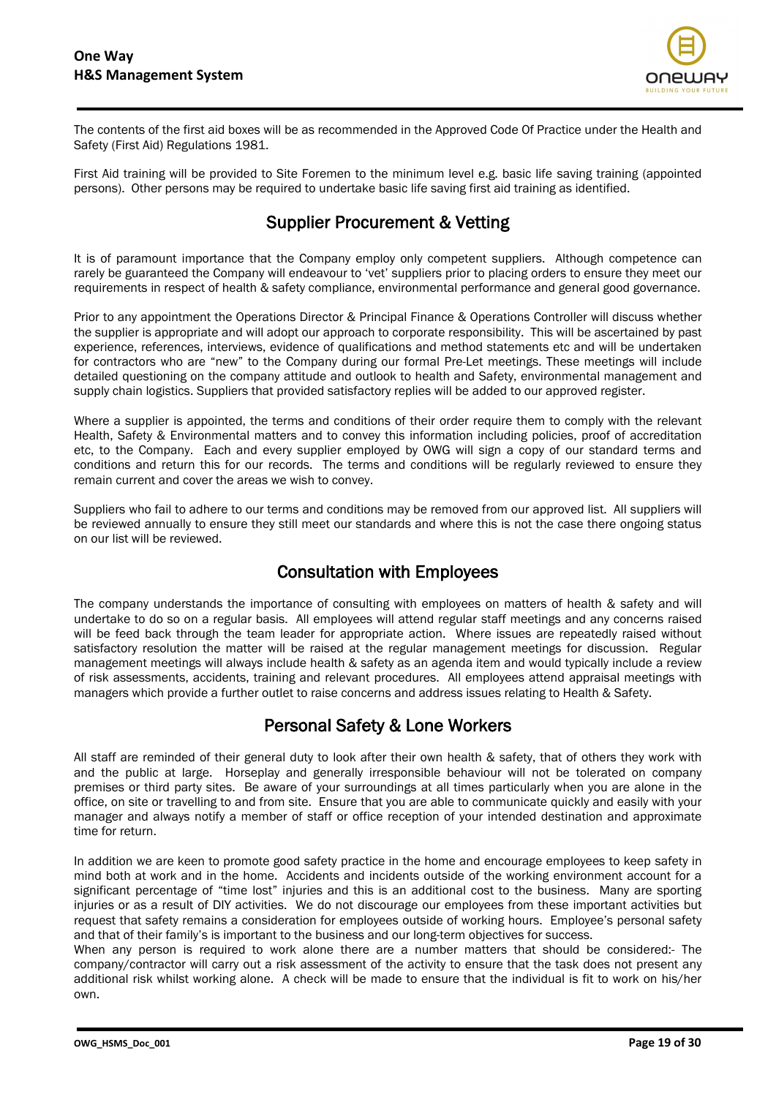

The contents of the first aid boxes will be as recommended in the Approved Code Of Practice under the Health and Safety (First Aid) Regulations 1981.

First Aid training will be provided to Site Foremen to the minimum level e.g. basic life saving training (appointed persons). Other persons may be required to undertake basic life saving first aid training as identified.

# Supplier Procurement & Vetting

It is of paramount importance that the Company employ only competent suppliers. Although competence can rarely be guaranteed the Company will endeavour to 'vet' suppliers prior to placing orders to ensure they meet our requirements in respect of health & safety compliance, environmental performance and general good governance.

Prior to any appointment the Operations Director & Principal Finance & Operations Controller will discuss whether the supplier is appropriate and will adopt our approach to corporate responsibility. This will be ascertained by past experience, references, interviews, evidence of qualifications and method statements etc and will be undertaken for contractors who are "new" to the Company during our formal Pre-Let meetings. These meetings will include detailed questioning on the company attitude and outlook to health and Safety, environmental management and supply chain logistics. Suppliers that provided satisfactory replies will be added to our approved register.

Where a supplier is appointed, the terms and conditions of their order require them to comply with the relevant Health, Safety & Environmental matters and to convey this information including policies, proof of accreditation etc, to the Company. Each and every supplier employed by OWG will sign a copy of our standard terms and conditions and return this for our records. The terms and conditions will be regularly reviewed to ensure they remain current and cover the areas we wish to convey.

Suppliers who fail to adhere to our terms and conditions may be removed from our approved list. All suppliers will be reviewed annually to ensure they still meet our standards and where this is not the case there ongoing status on our list will be reviewed.

# Consultation with Employees

The company understands the importance of consulting with employees on matters of health & safety and will undertake to do so on a regular basis. All employees will attend regular staff meetings and any concerns raised will be feed back through the team leader for appropriate action. Where issues are repeatedly raised without satisfactory resolution the matter will be raised at the regular management meetings for discussion. Regular management meetings will always include health & safety as an agenda item and would typically include a review of risk assessments, accidents, training and relevant procedures. All employees attend appraisal meetings with managers which provide a further outlet to raise concerns and address issues relating to Health & Safety.

# Personal Safety & Lone Workers

All staff are reminded of their general duty to look after their own health & safety, that of others they work with and the public at large. Horseplay and generally irresponsible behaviour will not be tolerated on company premises or third party sites. Be aware of your surroundings at all times particularly when you are alone in the office, on site or travelling to and from site. Ensure that you are able to communicate quickly and easily with your manager and always notify a member of staff or office reception of your intended destination and approximate time for return.

In addition we are keen to promote good safety practice in the home and encourage employees to keep safety in mind both at work and in the home. Accidents and incidents outside of the working environment account for a significant percentage of "time lost" injuries and this is an additional cost to the business. Many are sporting injuries or as a result of DIY activities. We do not discourage our employees from these important activities but request that safety remains a consideration for employees outside of working hours. Employee's personal safety and that of their family's is important to the business and our long-term objectives for success.

When any person is required to work alone there are a number matters that should be considered:- The company/contractor will carry out a risk assessment of the activity to ensure that the task does not present any additional risk whilst working alone. A check will be made to ensure that the individual is fit to work on his/her own.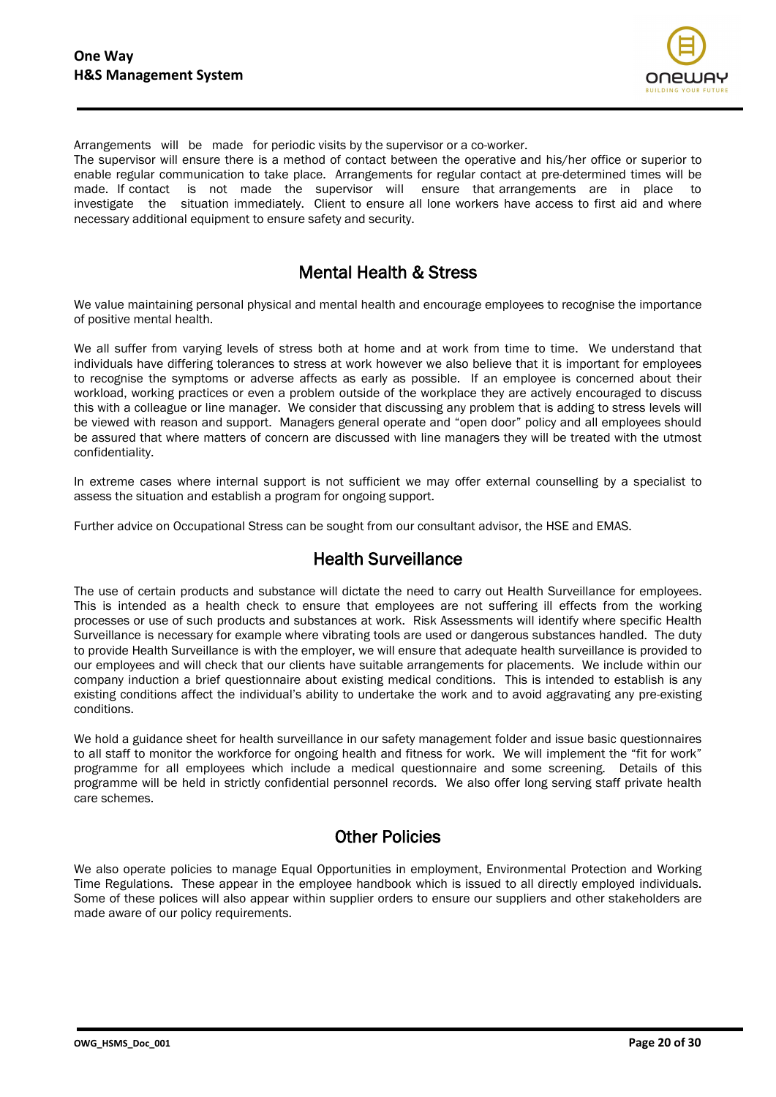

Arrangements will be made for periodic visits by the supervisor or a co-worker.

The supervisor will ensure there is a method of contact between the operative and his/her office or superior to enable regular communication to take place. Arrangements for regular contact at pre-determined times will be made. If contact is not made the supervisor will ensure that arrangements are in place to investigate the situation immediately. Client to ensure all lone workers have access to first aid and where necessary additional equipment to ensure safety and security.

#### Mental Health & Stress

We value maintaining personal physical and mental health and encourage employees to recognise the importance of positive mental health.

We all suffer from varying levels of stress both at home and at work from time to time. We understand that individuals have differing tolerances to stress at work however we also believe that it is important for employees to recognise the symptoms or adverse affects as early as possible. If an employee is concerned about their workload, working practices or even a problem outside of the workplace they are actively encouraged to discuss this with a colleague or line manager. We consider that discussing any problem that is adding to stress levels will be viewed with reason and support. Managers general operate and "open door" policy and all employees should be assured that where matters of concern are discussed with line managers they will be treated with the utmost confidentiality.

In extreme cases where internal support is not sufficient we may offer external counselling by a specialist to assess the situation and establish a program for ongoing support.

Further advice on Occupational Stress can be sought from our consultant advisor, the HSE and EMAS.

## Health Surveillance

The use of certain products and substance will dictate the need to carry out Health Surveillance for employees. This is intended as a health check to ensure that employees are not suffering ill effects from the working processes or use of such products and substances at work. Risk Assessments will identify where specific Health Surveillance is necessary for example where vibrating tools are used or dangerous substances handled. The duty to provide Health Surveillance is with the employer, we will ensure that adequate health surveillance is provided to our employees and will check that our clients have suitable arrangements for placements. We include within our company induction a brief questionnaire about existing medical conditions. This is intended to establish is any existing conditions affect the individual's ability to undertake the work and to avoid aggravating any pre-existing conditions.

We hold a guidance sheet for health surveillance in our safety management folder and issue basic questionnaires to all staff to monitor the workforce for ongoing health and fitness for work. We will implement the "fit for work" programme for all employees which include a medical questionnaire and some screening. Details of this programme will be held in strictly confidential personnel records. We also offer long serving staff private health care schemes.

#### Other Policies

We also operate policies to manage Equal Opportunities in employment, Environmental Protection and Working Time Regulations. These appear in the employee handbook which is issued to all directly employed individuals. Some of these polices will also appear within supplier orders to ensure our suppliers and other stakeholders are made aware of our policy requirements.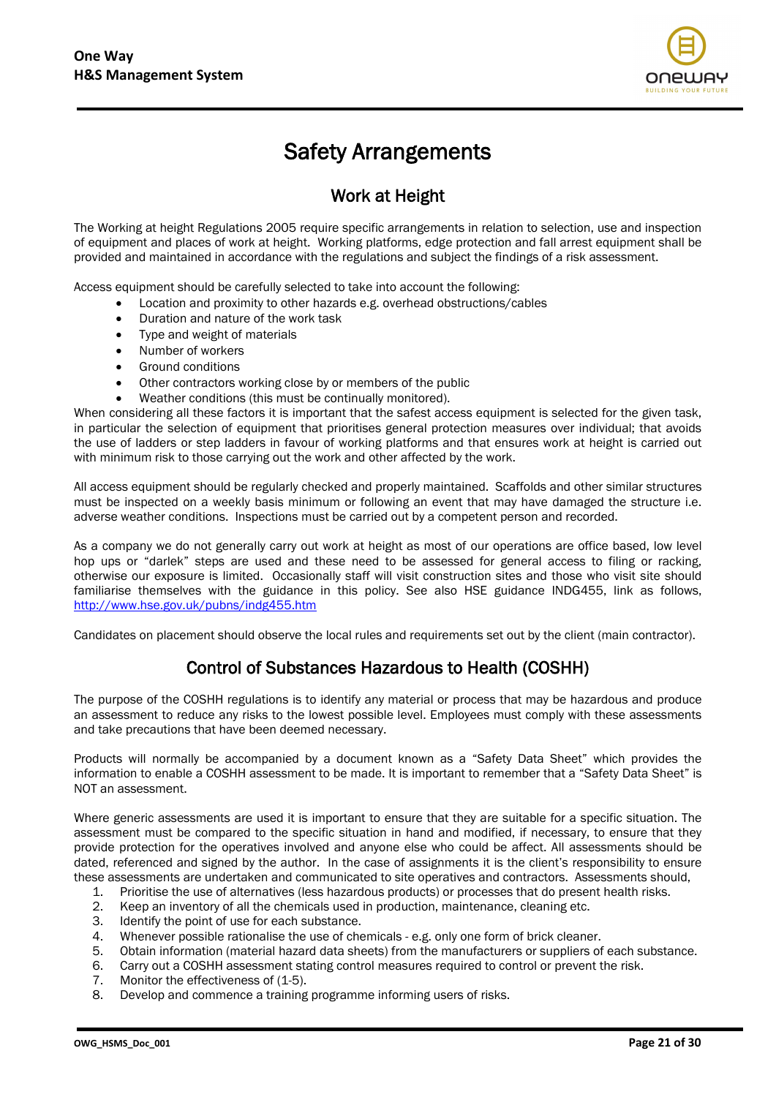

# Safety Arrangements

## Work at Height

The Working at height Regulations 2005 require specific arrangements in relation to selection, use and inspection of equipment and places of work at height. Working platforms, edge protection and fall arrest equipment shall be provided and maintained in accordance with the regulations and subject the findings of a risk assessment.

Access equipment should be carefully selected to take into account the following:

- Location and proximity to other hazards e.g. overhead obstructions/cables
- Duration and nature of the work task
- Type and weight of materials
- Number of workers
- Ground conditions
- Other contractors working close by or members of the public
- Weather conditions (this must be continually monitored).

When considering all these factors it is important that the safest access equipment is selected for the given task, in particular the selection of equipment that prioritises general protection measures over individual; that avoids the use of ladders or step ladders in favour of working platforms and that ensures work at height is carried out with minimum risk to those carrying out the work and other affected by the work.

All access equipment should be regularly checked and properly maintained. Scaffolds and other similar structures must be inspected on a weekly basis minimum or following an event that may have damaged the structure i.e. adverse weather conditions. Inspections must be carried out by a competent person and recorded.

As a company we do not generally carry out work at height as most of our operations are office based, low level hop ups or "darlek" steps are used and these need to be assessed for general access to filing or racking, otherwise our exposure is limited. Occasionally staff will visit construction sites and those who visit site should familiarise themselves with the guidance in this policy. See also HSE guidance INDG455, link as follows, <http://www.hse.gov.uk/pubns/indg455.htm>

Candidates on placement should observe the local rules and requirements set out by the client (main contractor).

# Control of Substances Hazardous to Health (COSHH)

The purpose of the COSHH regulations is to identify any material or process that may be hazardous and produce an assessment to reduce any risks to the lowest possible level. Employees must comply with these assessments and take precautions that have been deemed necessary.

Products will normally be accompanied by a document known as a "Safety Data Sheet" which provides the information to enable a COSHH assessment to be made. It is important to remember that a "Safety Data Sheet" is NOT an assessment.

Where generic assessments are used it is important to ensure that they are suitable for a specific situation. The assessment must be compared to the specific situation in hand and modified, if necessary, to ensure that they provide protection for the operatives involved and anyone else who could be affect. All assessments should be dated, referenced and signed by the author. In the case of assignments it is the client's responsibility to ensure these assessments are undertaken and communicated to site operatives and contractors. Assessments should,

- 1. Prioritise the use of alternatives (less hazardous products) or processes that do present health risks.
- 2. Keep an inventory of all the chemicals used in production, maintenance, cleaning etc.
- 3. Identify the point of use for each substance.
- 4. Whenever possible rationalise the use of chemicals e.g. only one form of brick cleaner.
- 5. Obtain information (material hazard data sheets) from the manufacturers or suppliers of each substance.
- 6. Carry out a COSHH assessment stating control measures required to control or prevent the risk.
- 7. Monitor the effectiveness of (1-5).
- 8. Develop and commence a training programme informing users of risks.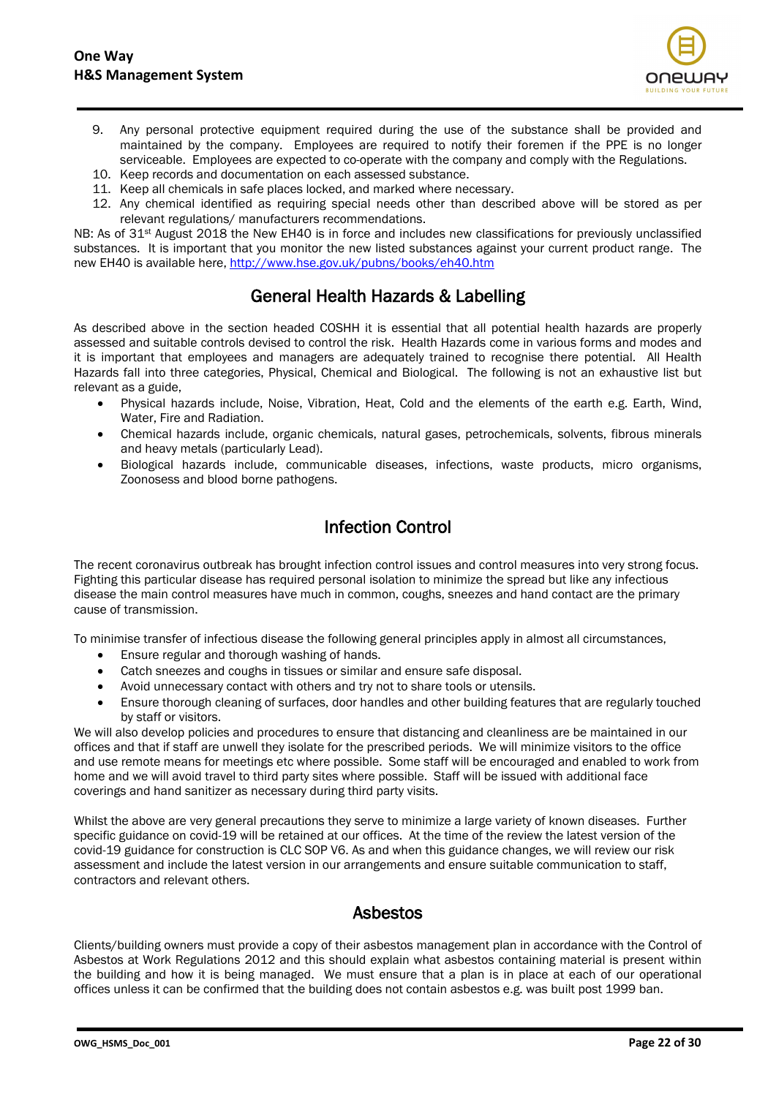

- 9. Any personal protective equipment required during the use of the substance shall be provided and maintained by the company. Employees are required to notify their foremen if the PPE is no longer serviceable. Employees are expected to co-operate with the company and comply with the Regulations.
- 10. Keep records and documentation on each assessed substance.
- 11. Keep all chemicals in safe places locked, and marked where necessary.
- 12. Any chemical identified as requiring special needs other than described above will be stored as per relevant regulations/ manufacturers recommendations.

NB: As of 31<sup>st</sup> August 2018 the New EH40 is in force and includes new classifications for previously unclassified substances. It is important that you monitor the new listed substances against your current product range. The new EH40 is available here, <http://www.hse.gov.uk/pubns/books/eh40.htm>

# General Health Hazards & Labelling

As described above in the section headed COSHH it is essential that all potential health hazards are properly assessed and suitable controls devised to control the risk. Health Hazards come in various forms and modes and it is important that employees and managers are adequately trained to recognise there potential. All Health Hazards fall into three categories, Physical, Chemical and Biological. The following is not an exhaustive list but relevant as a guide,

- Physical hazards include, Noise, Vibration, Heat, Cold and the elements of the earth e.g. Earth, Wind, Water, Fire and Radiation.
- Chemical hazards include, organic chemicals, natural gases, petrochemicals, solvents, fibrous minerals and heavy metals (particularly Lead).
- Biological hazards include, communicable diseases, infections, waste products, micro organisms, Zoonosess and blood borne pathogens.

# Infection Control

The recent coronavirus outbreak has brought infection control issues and control measures into very strong focus. Fighting this particular disease has required personal isolation to minimize the spread but like any infectious disease the main control measures have much in common, coughs, sneezes and hand contact are the primary cause of transmission.

To minimise transfer of infectious disease the following general principles apply in almost all circumstances,

- Ensure regular and thorough washing of hands.
- Catch sneezes and coughs in tissues or similar and ensure safe disposal.
- Avoid unnecessary contact with others and try not to share tools or utensils.
- Ensure thorough cleaning of surfaces, door handles and other building features that are regularly touched by staff or visitors.

We will also develop policies and procedures to ensure that distancing and cleanliness are be maintained in our offices and that if staff are unwell they isolate for the prescribed periods. We will minimize visitors to the office and use remote means for meetings etc where possible. Some staff will be encouraged and enabled to work from home and we will avoid travel to third party sites where possible. Staff will be issued with additional face coverings and hand sanitizer as necessary during third party visits.

Whilst the above are very general precautions they serve to minimize a large variety of known diseases. Further specific guidance on covid-19 will be retained at our offices. At the time of the review the latest version of the covid-19 guidance for construction is CLC SOP V6. As and when this guidance changes, we will review our risk assessment and include the latest version in our arrangements and ensure suitable communication to staff, contractors and relevant others.

#### Asbestos

Clients/building owners must provide a copy of their asbestos management plan in accordance with the Control of Asbestos at Work Regulations 2012 and this should explain what asbestos containing material is present within the building and how it is being managed. We must ensure that a plan is in place at each of our operational offices unless it can be confirmed that the building does not contain asbestos e.g. was built post 1999 ban.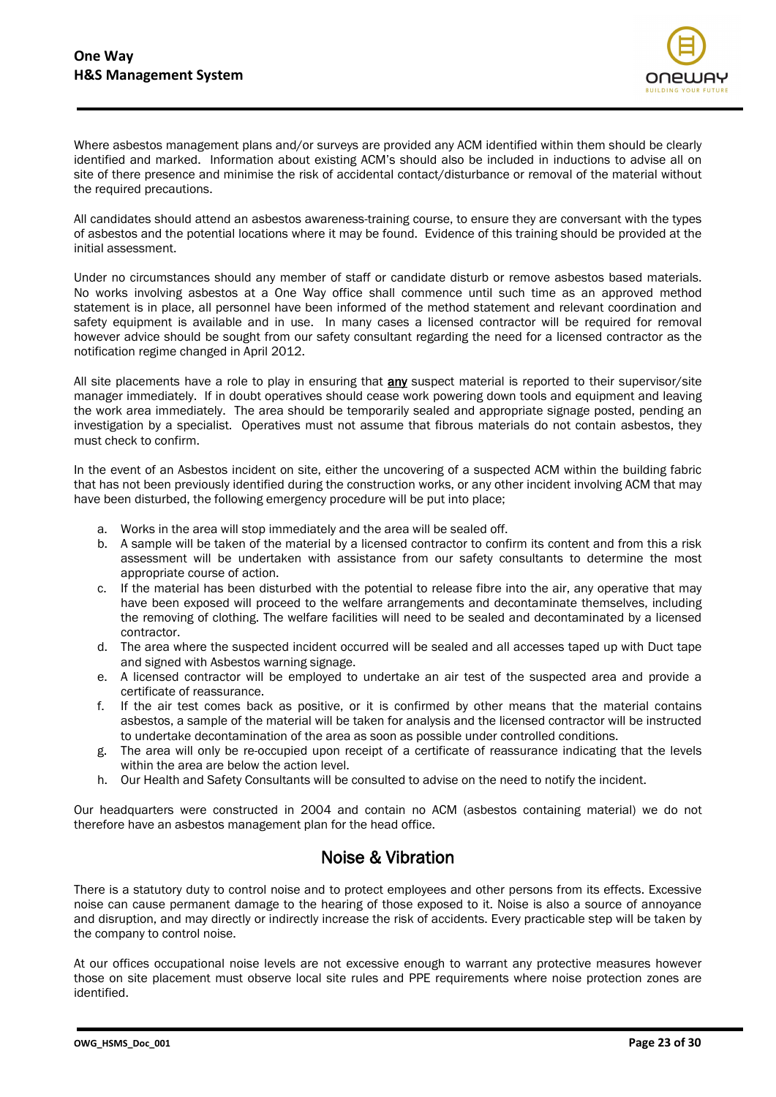

Where asbestos management plans and/or surveys are provided any ACM identified within them should be clearly identified and marked. Information about existing ACM's should also be included in inductions to advise all on site of there presence and minimise the risk of accidental contact/disturbance or removal of the material without the required precautions.

All candidates should attend an asbestos awareness-training course, to ensure they are conversant with the types of asbestos and the potential locations where it may be found. Evidence of this training should be provided at the initial assessment.

Under no circumstances should any member of staff or candidate disturb or remove asbestos based materials. No works involving asbestos at a One Way office shall commence until such time as an approved method statement is in place, all personnel have been informed of the method statement and relevant coordination and safety equipment is available and in use. In many cases a licensed contractor will be required for removal however advice should be sought from our safety consultant regarding the need for a licensed contractor as the notification regime changed in April 2012.

All site placements have a role to play in ensuring that any suspect material is reported to their supervisor/site manager immediately. If in doubt operatives should cease work powering down tools and equipment and leaving the work area immediately. The area should be temporarily sealed and appropriate signage posted, pending an investigation by a specialist. Operatives must not assume that fibrous materials do not contain asbestos, they must check to confirm.

In the event of an Asbestos incident on site, either the uncovering of a suspected ACM within the building fabric that has not been previously identified during the construction works, or any other incident involving ACM that may have been disturbed, the following emergency procedure will be put into place;

- a. Works in the area will stop immediately and the area will be sealed off.
- b. A sample will be taken of the material by a licensed contractor to confirm its content and from this a risk assessment will be undertaken with assistance from our safety consultants to determine the most appropriate course of action.
- c. If the material has been disturbed with the potential to release fibre into the air, any operative that may have been exposed will proceed to the welfare arrangements and decontaminate themselves, including the removing of clothing. The welfare facilities will need to be sealed and decontaminated by a licensed contractor.
- d. The area where the suspected incident occurred will be sealed and all accesses taped up with Duct tape and signed with Asbestos warning signage.
- e. A licensed contractor will be employed to undertake an air test of the suspected area and provide a certificate of reassurance.
- f. If the air test comes back as positive, or it is confirmed by other means that the material contains asbestos, a sample of the material will be taken for analysis and the licensed contractor will be instructed to undertake decontamination of the area as soon as possible under controlled conditions.
- g. The area will only be re-occupied upon receipt of a certificate of reassurance indicating that the levels within the area are below the action level.
- h. Our Health and Safety Consultants will be consulted to advise on the need to notify the incident.

Our headquarters were constructed in 2004 and contain no ACM (asbestos containing material) we do not therefore have an asbestos management plan for the head office.

## Noise & Vibration

There is a statutory duty to control noise and to protect employees and other persons from its effects. Excessive noise can cause permanent damage to the hearing of those exposed to it. Noise is also a source of annoyance and disruption, and may directly or indirectly increase the risk of accidents. Every practicable step will be taken by the company to control noise.

At our offices occupational noise levels are not excessive enough to warrant any protective measures however those on site placement must observe local site rules and PPE requirements where noise protection zones are identified.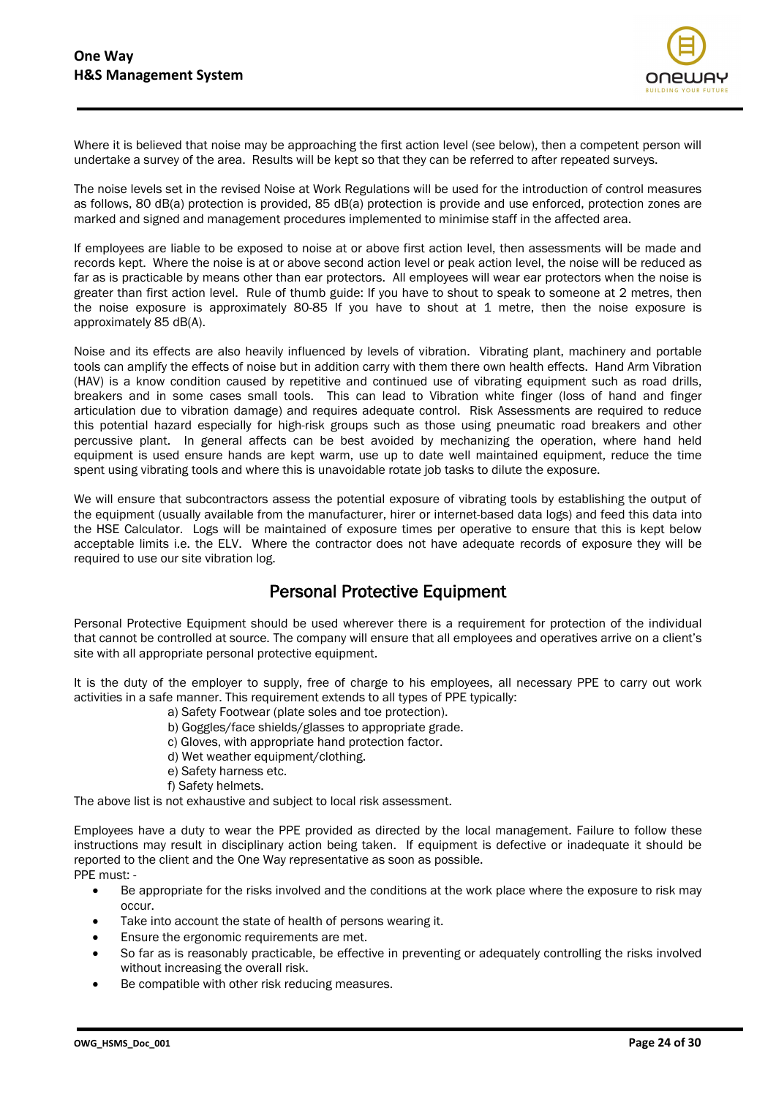

Where it is believed that noise may be approaching the first action level (see below), then a competent person will undertake a survey of the area. Results will be kept so that they can be referred to after repeated surveys.

The noise levels set in the revised Noise at Work Regulations will be used for the introduction of control measures as follows, 80 dB(a) protection is provided, 85 dB(a) protection is provide and use enforced, protection zones are marked and signed and management procedures implemented to minimise staff in the affected area.

If employees are liable to be exposed to noise at or above first action level, then assessments will be made and records kept. Where the noise is at or above second action level or peak action level, the noise will be reduced as far as is practicable by means other than ear protectors. All employees will wear ear protectors when the noise is greater than first action level. Rule of thumb guide: If you have to shout to speak to someone at 2 metres, then the noise exposure is approximately 80-85 If you have to shout at 1 metre, then the noise exposure is approximately 85 dB(A).

Noise and its effects are also heavily influenced by levels of vibration. Vibrating plant, machinery and portable tools can amplify the effects of noise but in addition carry with them there own health effects. Hand Arm Vibration (HAV) is a know condition caused by repetitive and continued use of vibrating equipment such as road drills, breakers and in some cases small tools. This can lead to Vibration white finger (loss of hand and finger articulation due to vibration damage) and requires adequate control. Risk Assessments are required to reduce this potential hazard especially for high-risk groups such as those using pneumatic road breakers and other percussive plant. In general affects can be best avoided by mechanizing the operation, where hand held equipment is used ensure hands are kept warm, use up to date well maintained equipment, reduce the time spent using vibrating tools and where this is unavoidable rotate job tasks to dilute the exposure.

We will ensure that subcontractors assess the potential exposure of vibrating tools by establishing the output of the equipment (usually available from the manufacturer, hirer or internet-based data logs) and feed this data into the HSE Calculator. Logs will be maintained of exposure times per operative to ensure that this is kept below acceptable limits i.e. the ELV. Where the contractor does not have adequate records of exposure they will be required to use our site vibration log.

## Personal Protective Equipment

Personal Protective Equipment should be used wherever there is a requirement for protection of the individual that cannot be controlled at source. The company will ensure that all employees and operatives arrive on a client's site with all appropriate personal protective equipment.

It is the duty of the employer to supply, free of charge to his employees, all necessary PPE to carry out work activities in a safe manner. This requirement extends to all types of PPE typically:

- a) Safety Footwear (plate soles and toe protection).
- b) Goggles/face shields/glasses to appropriate grade.
- c) Gloves, with appropriate hand protection factor.
- d) Wet weather equipment/clothing.
- e) Safety harness etc.
- f) Safety helmets.

The above list is not exhaustive and subject to local risk assessment.

Employees have a duty to wear the PPE provided as directed by the local management. Failure to follow these instructions may result in disciplinary action being taken. If equipment is defective or inadequate it should be reported to the client and the One Way representative as soon as possible. PPE must: -

- Be appropriate for the risks involved and the conditions at the work place where the exposure to risk may occur.
- Take into account the state of health of persons wearing it.
- Ensure the ergonomic requirements are met.
- So far as is reasonably practicable, be effective in preventing or adequately controlling the risks involved without increasing the overall risk.
- Be compatible with other risk reducing measures.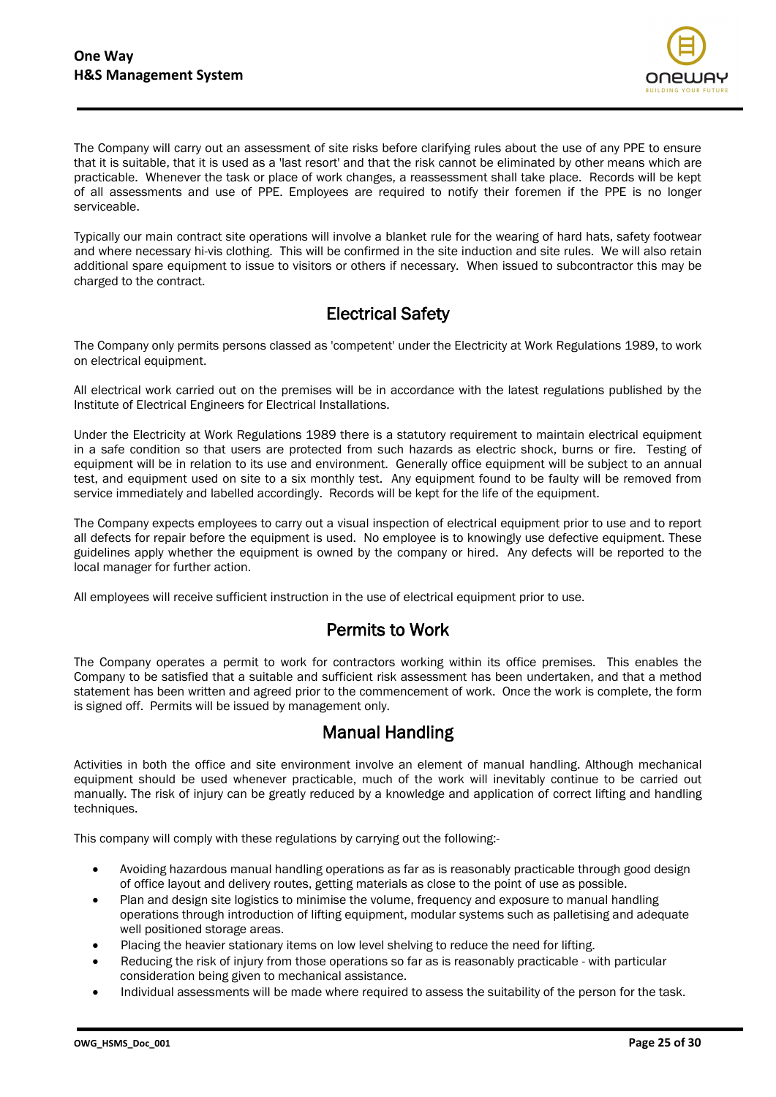

The Company will carry out an assessment of site risks before clarifying rules about the use of any PPE to ensure that it is suitable, that it is used as a 'last resort' and that the risk cannot be eliminated by other means which are practicable. Whenever the task or place of work changes, a reassessment shall take place. Records will be kept of all assessments and use of PPE. Employees are required to notify their foremen if the PPE is no longer serviceable.

Typically our main contract site operations will involve a blanket rule for the wearing of hard hats, safety footwear and where necessary hi-vis clothing. This will be confirmed in the site induction and site rules. We will also retain additional spare equipment to issue to visitors or others if necessary. When issued to subcontractor this may be charged to the contract.

# Electrical Safety

The Company only permits persons classed as 'competent' under the Electricity at Work Regulations 1989, to work on electrical equipment.

All electrical work carried out on the premises will be in accordance with the latest regulations published by the Institute of Electrical Engineers for Electrical Installations.

Under the Electricity at Work Regulations 1989 there is a statutory requirement to maintain electrical equipment in a safe condition so that users are protected from such hazards as electric shock, burns or fire. Testing of equipment will be in relation to its use and environment. Generally office equipment will be subject to an annual test, and equipment used on site to a six monthly test. Any equipment found to be faulty will be removed from service immediately and labelled accordingly. Records will be kept for the life of the equipment.

The Company expects employees to carry out a visual inspection of electrical equipment prior to use and to report all defects for repair before the equipment is used. No employee is to knowingly use defective equipment. These guidelines apply whether the equipment is owned by the company or hired. Any defects will be reported to the local manager for further action.

All employees will receive sufficient instruction in the use of electrical equipment prior to use.

## Permits to Work

The Company operates a permit to work for contractors working within its office premises. This enables the Company to be satisfied that a suitable and sufficient risk assessment has been undertaken, and that a method statement has been written and agreed prior to the commencement of work. Once the work is complete, the form is signed off. Permits will be issued by management only.

#### Manual Handling

Activities in both the office and site environment involve an element of manual handling. Although mechanical equipment should be used whenever practicable, much of the work will inevitably continue to be carried out manually. The risk of injury can be greatly reduced by a knowledge and application of correct lifting and handling techniques.

This company will comply with these regulations by carrying out the following:-

- Avoiding hazardous manual handling operations as far as is reasonably practicable through good design of office layout and delivery routes, getting materials as close to the point of use as possible.
- Plan and design site logistics to minimise the volume, frequency and exposure to manual handling operations through introduction of lifting equipment, modular systems such as palletising and adequate well positioned storage areas.
- Placing the heavier stationary items on low level shelving to reduce the need for lifting.
- Reducing the risk of injury from those operations so far as is reasonably practicable with particular consideration being given to mechanical assistance.
- Individual assessments will be made where required to assess the suitability of the person for the task.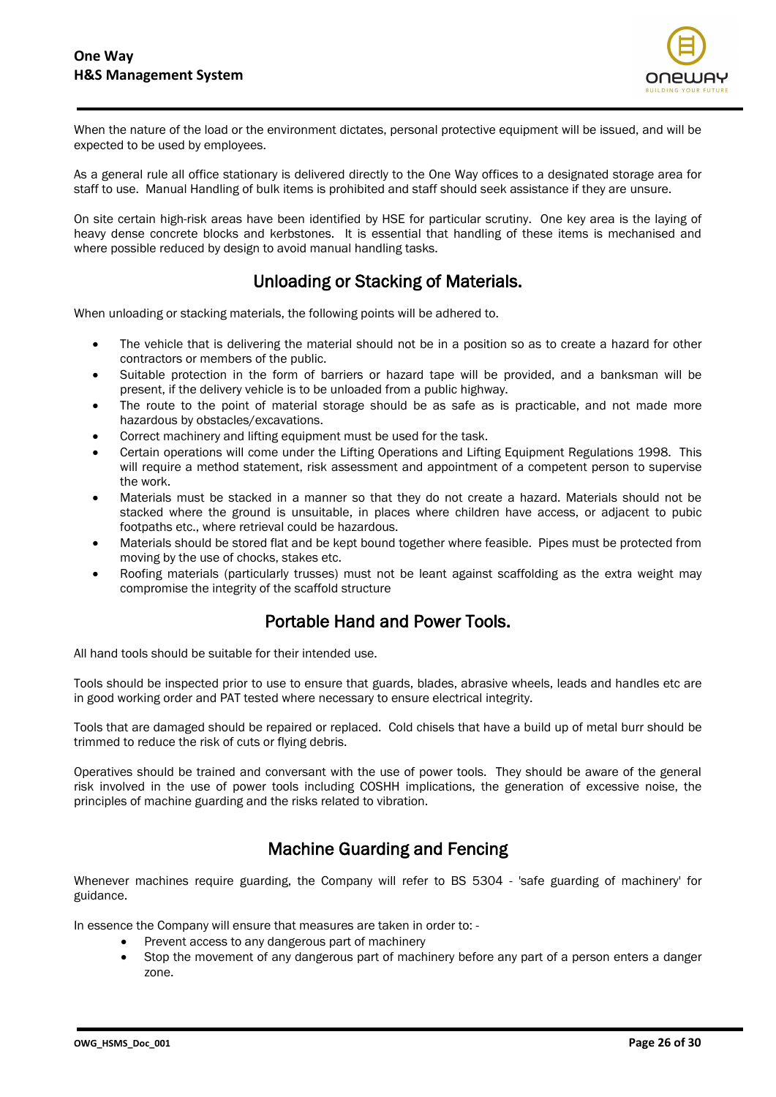

When the nature of the load or the environment dictates, personal protective equipment will be issued, and will be expected to be used by employees.

As a general rule all office stationary is delivered directly to the One Way offices to a designated storage area for staff to use. Manual Handling of bulk items is prohibited and staff should seek assistance if they are unsure.

On site certain high-risk areas have been identified by HSE for particular scrutiny. One key area is the laying of heavy dense concrete blocks and kerbstones. It is essential that handling of these items is mechanised and where possible reduced by design to avoid manual handling tasks.

## Unloading or Stacking of Materials.

When unloading or stacking materials, the following points will be adhered to.

- The vehicle that is delivering the material should not be in a position so as to create a hazard for other contractors or members of the public.
- Suitable protection in the form of barriers or hazard tape will be provided, and a banksman will be present, if the delivery vehicle is to be unloaded from a public highway.
- The route to the point of material storage should be as safe as is practicable, and not made more hazardous by obstacles/excavations.
- Correct machinery and lifting equipment must be used for the task.
- Certain operations will come under the Lifting Operations and Lifting Equipment Regulations 1998. This will require a method statement, risk assessment and appointment of a competent person to supervise the work.
- Materials must be stacked in a manner so that they do not create a hazard. Materials should not be stacked where the ground is unsuitable, in places where children have access, or adjacent to pubic footpaths etc., where retrieval could be hazardous.
- Materials should be stored flat and be kept bound together where feasible. Pipes must be protected from moving by the use of chocks, stakes etc.
- Roofing materials (particularly trusses) must not be leant against scaffolding as the extra weight may compromise the integrity of the scaffold structure

## Portable Hand and Power Tools.

All hand tools should be suitable for their intended use.

Tools should be inspected prior to use to ensure that guards, blades, abrasive wheels, leads and handles etc are in good working order and PAT tested where necessary to ensure electrical integrity.

Tools that are damaged should be repaired or replaced. Cold chisels that have a build up of metal burr should be trimmed to reduce the risk of cuts or flying debris.

Operatives should be trained and conversant with the use of power tools. They should be aware of the general risk involved in the use of power tools including COSHH implications, the generation of excessive noise, the principles of machine guarding and the risks related to vibration.

## Machine Guarding and Fencing

Whenever machines require guarding, the Company will refer to BS 5304 - 'safe guarding of machinery' for guidance.

In essence the Company will ensure that measures are taken in order to: -

- Prevent access to any dangerous part of machinery
- Stop the movement of any dangerous part of machinery before any part of a person enters a danger zone.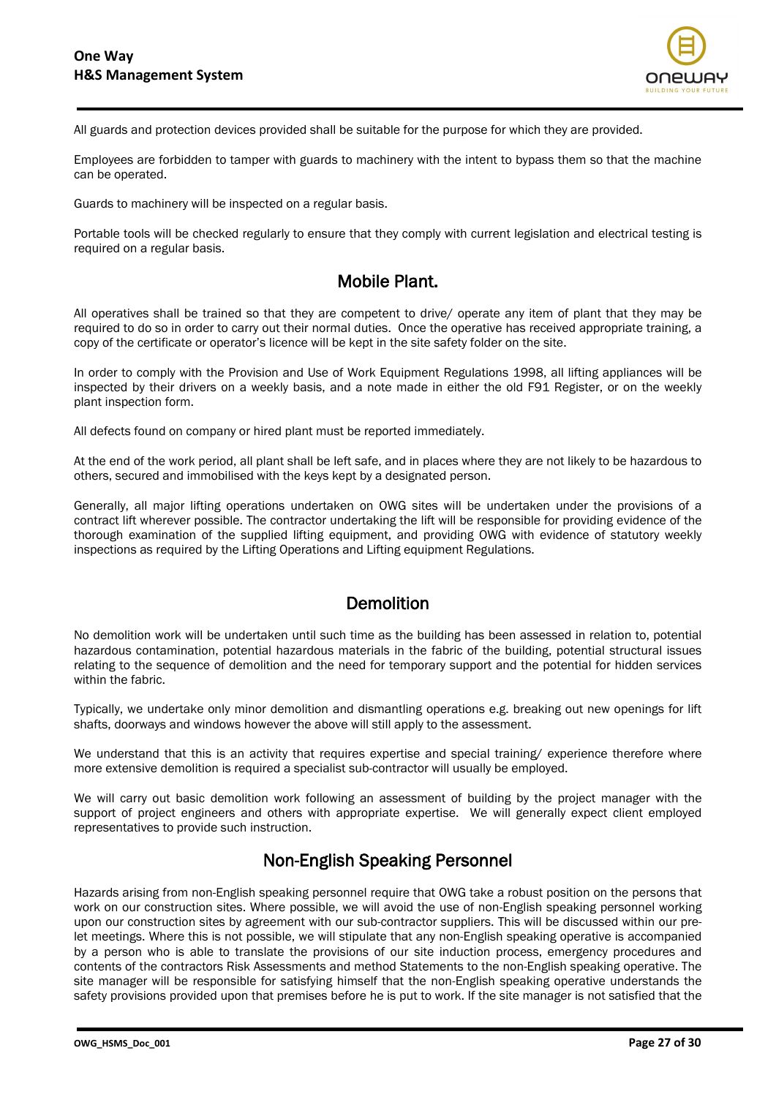

All guards and protection devices provided shall be suitable for the purpose for which they are provided.

Employees are forbidden to tamper with guards to machinery with the intent to bypass them so that the machine can be operated.

Guards to machinery will be inspected on a regular basis.

Portable tools will be checked regularly to ensure that they comply with current legislation and electrical testing is required on a regular basis.

#### Mobile Plant.

All operatives shall be trained so that they are competent to drive/ operate any item of plant that they may be required to do so in order to carry out their normal duties. Once the operative has received appropriate training, a copy of the certificate or operator's licence will be kept in the site safety folder on the site.

In order to comply with the Provision and Use of Work Equipment Regulations 1998, all lifting appliances will be inspected by their drivers on a weekly basis, and a note made in either the old F91 Register, or on the weekly plant inspection form.

All defects found on company or hired plant must be reported immediately.

At the end of the work period, all plant shall be left safe, and in places where they are not likely to be hazardous to others, secured and immobilised with the keys kept by a designated person.

Generally, all major lifting operations undertaken on OWG sites will be undertaken under the provisions of a contract lift wherever possible. The contractor undertaking the lift will be responsible for providing evidence of the thorough examination of the supplied lifting equipment, and providing OWG with evidence of statutory weekly inspections as required by the Lifting Operations and Lifting equipment Regulations.

#### **Demolition**

No demolition work will be undertaken until such time as the building has been assessed in relation to, potential hazardous contamination, potential hazardous materials in the fabric of the building, potential structural issues relating to the sequence of demolition and the need for temporary support and the potential for hidden services within the fabric.

Typically, we undertake only minor demolition and dismantling operations e.g. breaking out new openings for lift shafts, doorways and windows however the above will still apply to the assessment.

We understand that this is an activity that requires expertise and special training/experience therefore where more extensive demolition is required a specialist sub-contractor will usually be employed.

We will carry out basic demolition work following an assessment of building by the project manager with the support of project engineers and others with appropriate expertise. We will generally expect client employed representatives to provide such instruction.

## Non-English Speaking Personnel

Hazards arising from non-English speaking personnel require that OWG take a robust position on the persons that work on our construction sites. Where possible, we will avoid the use of non-English speaking personnel working upon our construction sites by agreement with our sub-contractor suppliers. This will be discussed within our prelet meetings. Where this is not possible, we will stipulate that any non-English speaking operative is accompanied by a person who is able to translate the provisions of our site induction process, emergency procedures and contents of the contractors Risk Assessments and method Statements to the non-English speaking operative. The site manager will be responsible for satisfying himself that the non-English speaking operative understands the safety provisions provided upon that premises before he is put to work. If the site manager is not satisfied that the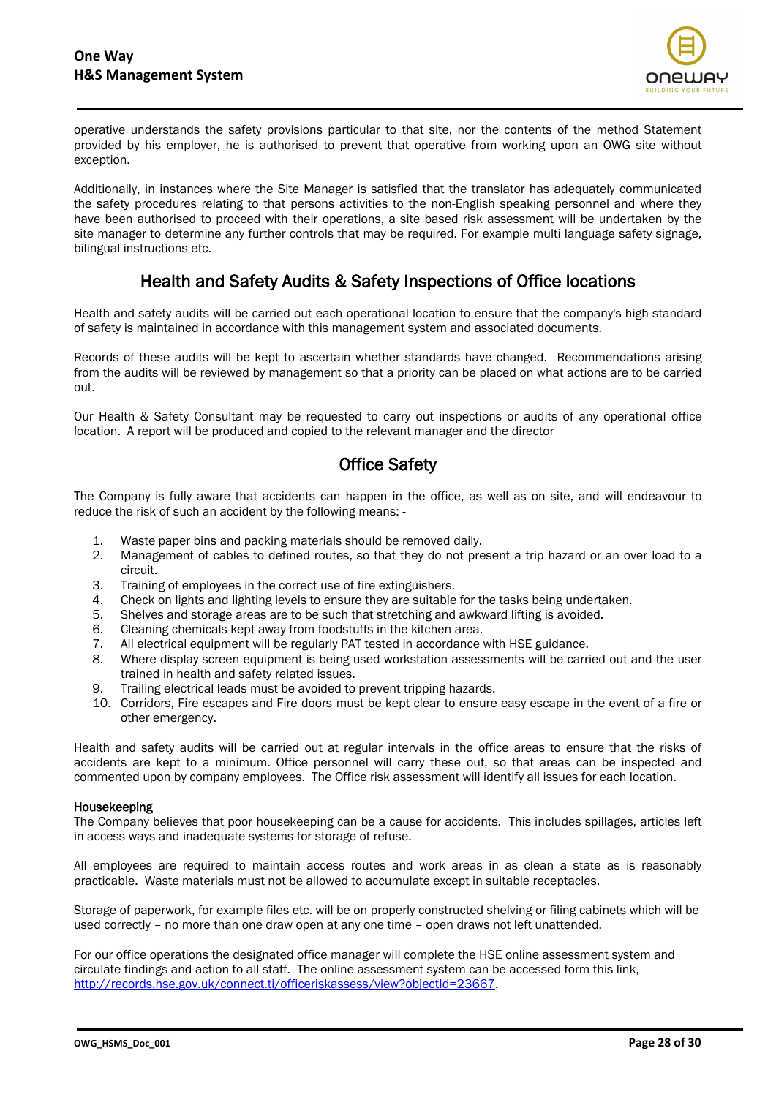

operative understands the safety provisions particular to that site, nor the contents of the method Statement provided by his employer, he is authorised to prevent that operative from working upon an OWG site without exception.

Additionally, in instances where the Site Manager is satisfied that the translator has adequately communicated the safety procedures relating to that persons activities to the non-English speaking personnel and where they have been authorised to proceed with their operations, a site based risk assessment will be undertaken by the site manager to determine any further controls that may be required. For example multi language safety signage, bilingual instructions etc.

## Health and Safety Audits & Safety Inspections of Office locations

Health and safety audits will be carried out each operational location to ensure that the company's high standard of safety is maintained in accordance with this management system and associated documents.

Records of these audits will be kept to ascertain whether standards have changed. Recommendations arising from the audits will be reviewed by management so that a priority can be placed on what actions are to be carried out.

Our Health & Safety Consultant may be requested to carry out inspections or audits of any operational office location. A report will be produced and copied to the relevant manager and the director

## Office Safety

The Company is fully aware that accidents can happen in the office, as well as on site, and will endeavour to reduce the risk of such an accident by the following means: -

- 1. Waste paper bins and packing materials should be removed daily.
- 2. Management of cables to defined routes, so that they do not present a trip hazard or an over load to a circuit.
- 3. Training of employees in the correct use of fire extinguishers.
- 4. Check on lights and lighting levels to ensure they are suitable for the tasks being undertaken.
- 5. Shelves and storage areas are to be such that stretching and awkward lifting is avoided.
- 6. Cleaning chemicals kept away from foodstuffs in the kitchen area.
- 7. All electrical equipment will be regularly PAT tested in accordance with HSE guidance.
- 8. Where display screen equipment is being used workstation assessments will be carried out and the user trained in health and safety related issues.
- 9. Trailing electrical leads must be avoided to prevent tripping hazards.
- 10. Corridors, Fire escapes and Fire doors must be kept clear to ensure easy escape in the event of a fire or other emergency.

Health and safety audits will be carried out at regular intervals in the office areas to ensure that the risks of accidents are kept to a minimum. Office personnel will carry these out, so that areas can be inspected and commented upon by company employees. The Office risk assessment will identify all issues for each location.

#### Housekeeping

The Company believes that poor housekeeping can be a cause for accidents. This includes spillages, articles left in access ways and inadequate systems for storage of refuse.

All employees are required to maintain access routes and work areas in as clean a state as is reasonably practicable. Waste materials must not be allowed to accumulate except in suitable receptacles.

Storage of paperwork, for example files etc. will be on properly constructed shelving or filing cabinets which will be used correctly – no more than one draw open at any one time – open draws not left unattended.

For our office operations the designated office manager will complete the HSE online assessment system and circulate findings and action to all staff. The online assessment system can be accessed form this link, [http://records.hse.gov.uk/connect.ti/officeriskassess/view?objectId=23667.](http://records.hse.gov.uk/connect.ti/officeriskassess/view?objectId=23667)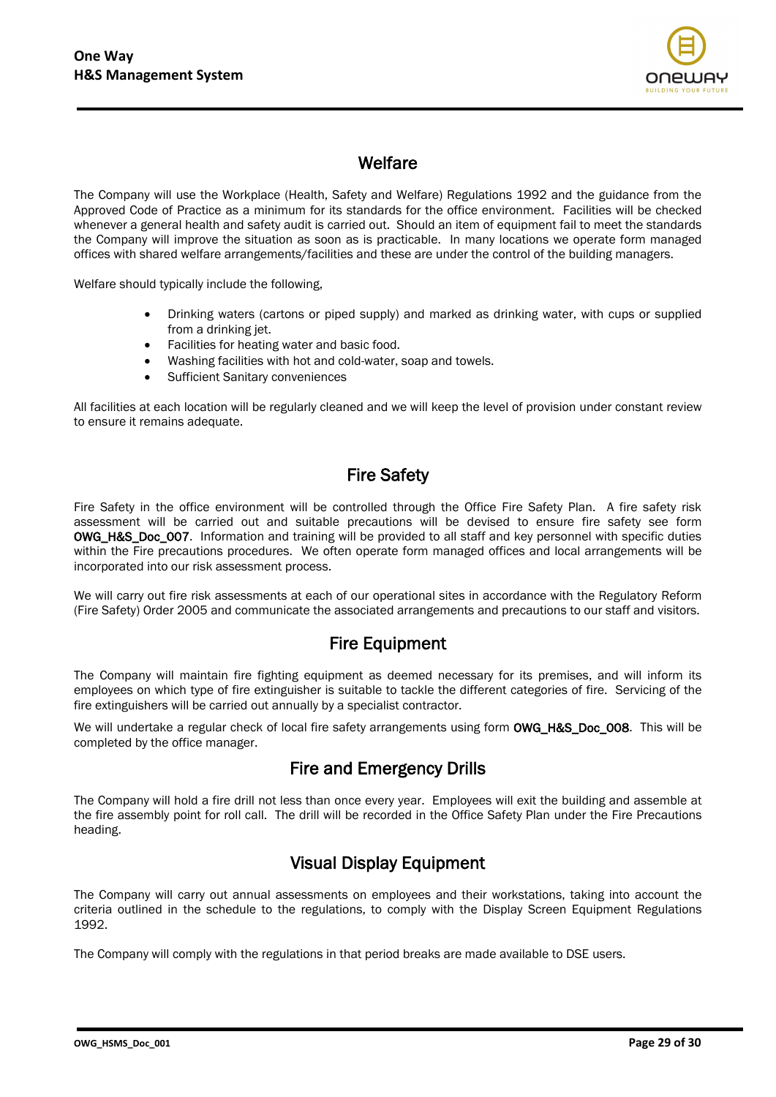

## **Welfare**

The Company will use the Workplace (Health, Safety and Welfare) Regulations 1992 and the guidance from the Approved Code of Practice as a minimum for its standards for the office environment. Facilities will be checked whenever a general health and safety audit is carried out. Should an item of equipment fail to meet the standards the Company will improve the situation as soon as is practicable. In many locations we operate form managed offices with shared welfare arrangements/facilities and these are under the control of the building managers.

Welfare should typically include the following,

- Drinking waters (cartons or piped supply) and marked as drinking water, with cups or supplied from a drinking jet.
- Facilities for heating water and basic food.
- Washing facilities with hot and cold-water, soap and towels.
- Sufficient Sanitary conveniences

All facilities at each location will be regularly cleaned and we will keep the level of provision under constant review to ensure it remains adequate.

## Fire Safety

Fire Safety in the office environment will be controlled through the Office Fire Safety Plan. A fire safety risk assessment will be carried out and suitable precautions will be devised to ensure fire safety see form OWG\_H&S\_Doc\_007. Information and training will be provided to all staff and key personnel with specific duties within the Fire precautions procedures. We often operate form managed offices and local arrangements will be incorporated into our risk assessment process.

We will carry out fire risk assessments at each of our operational sites in accordance with the Regulatory Reform (Fire Safety) Order 2005 and communicate the associated arrangements and precautions to our staff and visitors.

#### Fire Equipment

The Company will maintain fire fighting equipment as deemed necessary for its premises, and will inform its employees on which type of fire extinguisher is suitable to tackle the different categories of fire. Servicing of the fire extinguishers will be carried out annually by a specialist contractor.

We will undertake a regular check of local fire safety arrangements using form **OWG\_H&S\_Doc\_008.** This will be completed by the office manager.

## Fire and Emergency Drills

The Company will hold a fire drill not less than once every year. Employees will exit the building and assemble at the fire assembly point for roll call. The drill will be recorded in the Office Safety Plan under the Fire Precautions heading.

# Visual Display Equipment

The Company will carry out annual assessments on employees and their workstations, taking into account the criteria outlined in the schedule to the regulations, to comply with the Display Screen Equipment Regulations 1992.

The Company will comply with the regulations in that period breaks are made available to DSE users.